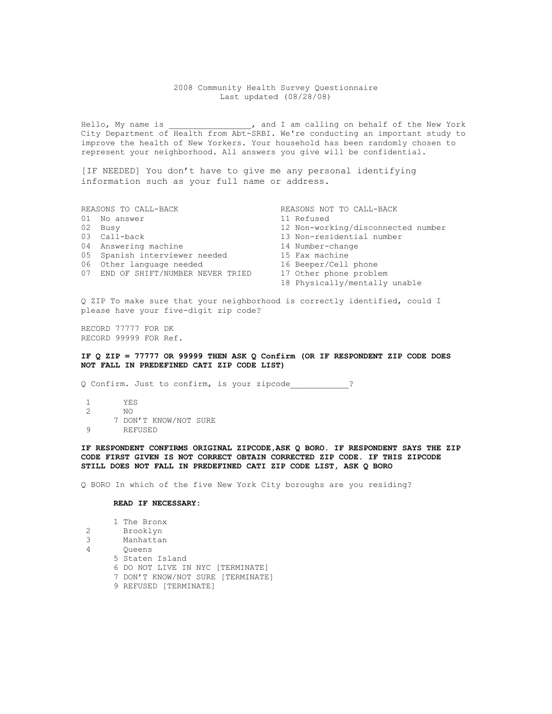## 2008 Community Health Survey Questionnaire Last updated (08/28/08)

Hello, My name is  $\qquad \qquad$ , and I am calling on behalf of the New York City Department of Health from Abt-SRBI. We're conducting an important study to improve the health of New Yorkers. Your household has been randomly chosen to represent your neighborhood. All answers you give will be confidential.

[IF NEEDED] You don't have to give me any personal identifying information such as your full name or address.

REASONS TO CALL-BACK REASONS NOT TO CALL-BACK 01 No answer 01 No answer<br>02 Busy 02 Busy 12 Non-working/disconnected number<br>03 Call-back 13 Non-residential number 13 Non-residential number<br>14 Number-change 04 Answering machine 14 Number-changer<br>05 Spanish interviewer needed 15 Fax machine 05 Spanish interviewer needed 15 Fax machine<br>06 Other language needed 16 Beeper/Cell phone 06 Other language needed 16 Beeper/Cell phone 07 END OF SHIFT/NUMBER NEVER TRIED 17 Other phone problem 18 Physically/mentally unable Q ZIP To make sure that your neighborhood is correctly identified, could I please have your five-digit zip code? RECORD 77777 FOR DK RECORD 99999 FOR Ref.

# **IF Q ZIP = 77777 OR 99999 THEN ASK Q Confirm (OR IF RESPONDENT ZIP CODE DOES NOT FALL IN PREDEFINED CATI ZIP CODE LIST)**

Q Confirm. Just to confirm, is your zipcode\_\_\_\_\_\_\_\_\_\_\_\_?

- 1 YES<br>2 NO
- 2 NO
- 7 DON'T KNOW/NOT SURE
- **REFUSED**

# **IF RESPONDENT CONFIRMS ORIGINAL ZIPCODE,ASK Q BORO. IF RESPONDENT SAYS THE ZIP CODE FIRST GIVEN IS NOT CORRECT OBTAIN CORRECTED ZIP CODE. IF THIS ZIPCODE STILL DOES NOT FALL IN PREDEFINED CATI ZIP CODE LIST, ASK Q BORO**

Q BORO In which of the five New York City boroughs are you residing?

# **READ IF NECESSARY:**

|  | 1 The Bronx |  |
|--|-------------|--|
|  |             |  |

- 2 Brooklyn<br>3 Manhattar
- 3 Manhattan **Queens**
- 

5 Staten Island

6 DO NOT LIVE IN NYC [TERMINATE]

- 7 DON'T KNOW/NOT SURE [TERMINATE]
- 9 REFUSED [TERMINATE]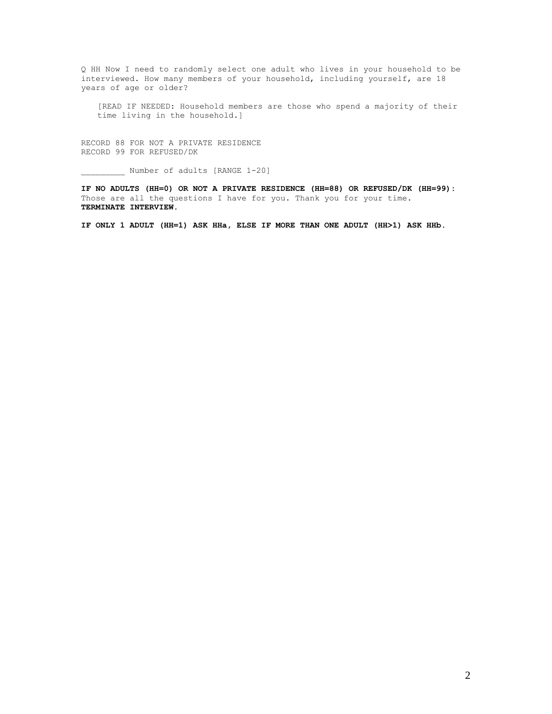Q HH Now I need to randomly select one adult who lives in your household to be interviewed. How many members of your household, including yourself, are 18 years of age or older?

[READ IF NEEDED: Household members are those who spend a majority of their time living in the household.]

RECORD 88 FOR NOT A PRIVATE RESIDENCE RECORD 99 FOR REFUSED/DK

Number of adults [RANGE 1-20]

**IF NO ADULTS (HH=0) OR NOT A PRIVATE RESIDENCE (HH=88) OR REFUSED/DK (HH=99):**  Those are all the questions I have for you. Thank you for your time. **TERMINATE INTERVIEW.** 

**IF ONLY 1 ADULT (HH=1) ASK HHa, ELSE IF MORE THAN ONE ADULT (HH>1) ASK HHb.**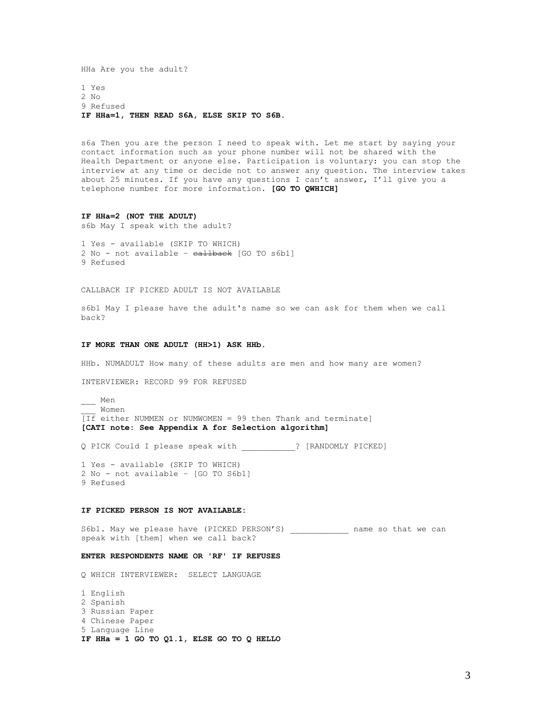HHa Are you the adult? 1 Yes 2 No 9 Refused

**IF HHa=1, THEN READ S6A, ELSE SKIP TO S6B.** 

s6a Then you are the person I need to speak with. Let me start by saying your contact information such as your phone number will not be shared with the Health Department or anyone else. Participation is voluntary: you can stop the interview at any time or decide not to answer any question. The interview takes about 25 minutes. If you have any questions I can't answer, I'll give you a telephone number for more information. **[GO TO QWHICH]**

#### **IF HHa=2 (NOT THE ADULT)**

s6b May I speak with the adult?

```
1 Yes - available (SKIP TO WHICH) 
2 No - not available - callback [GO TO s6b1]
9 Refused
```
CALLBACK IF PICKED ADULT IS NOT AVAILABLE

s6b1 May I please have the adult's name so we can ask for them when we call back?

#### **IF MORE THAN ONE ADULT (HH>1) ASK HHb.**

HHb. NUMADULT How many of these adults are men and how many are women?

INTERVIEWER: RECORD 99 FOR REFUSED

\_\_\_ Men \_\_\_ Women [If either NUMMEN or NUMWOMEN = 99 then Thank and terminate] **[CATI note: See Appendix A for Selection algorithm]** 

Q PICK Could I please speak with \_\_\_\_\_\_\_\_\_\_\_? [RANDOMLY PICKED]

1 Yes - available (SKIP TO WHICH) 2 No - not available – [GO TO S6b1] 9 Refused

#### **IF PICKED PERSON IS NOT AVAILABLE:**

S6b1. May we please have (PICKED PERSON'S) \_\_\_\_\_\_\_\_\_\_\_\_ name so that we can speak with [them] when we call back?

#### **ENTER RESPONDENTS NAME OR 'RF' IF REFUSES**

Q WHICH INTERVIEWER: SELECT LANGUAGE

1 English 2 Spanish 3 Russian Paper 4 Chinese Paper 5 Language Line **IF HHa = 1 GO TO Q1.1, ELSE GO TO Q HELLO**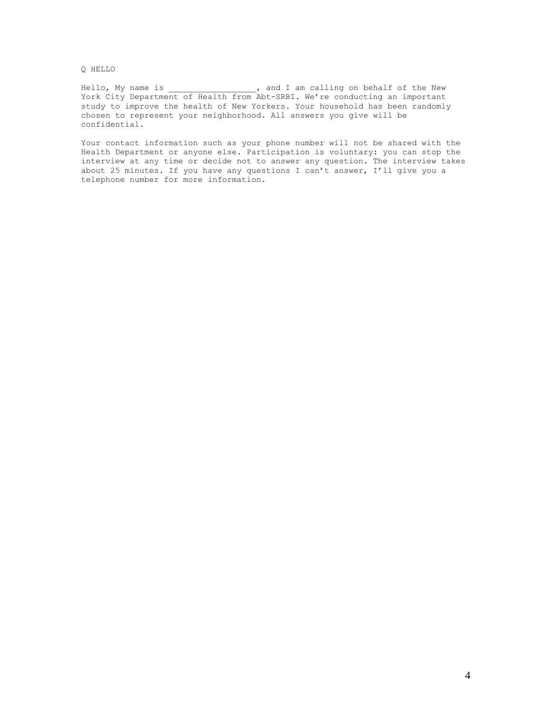Q HELLO

Hello, My name is \_\_\_\_\_\_\_\_\_\_\_\_\_\_\_\_\_\_, and I am calling on behalf of the New York City Department of Health from Abt-SRBI. We're conducting an important study to improve the health of New Yorkers. Your household has been randomly chosen to represent your neighborhood. All answers you give will be confidential.

Your contact information such as your phone number will not be shared with the Health Department or anyone else. Participation is voluntary: you can stop the interview at any time or decide not to answer any question. The interview takes about 25 minutes. If you have any questions I can't answer, I'll give you a telephone number for more information.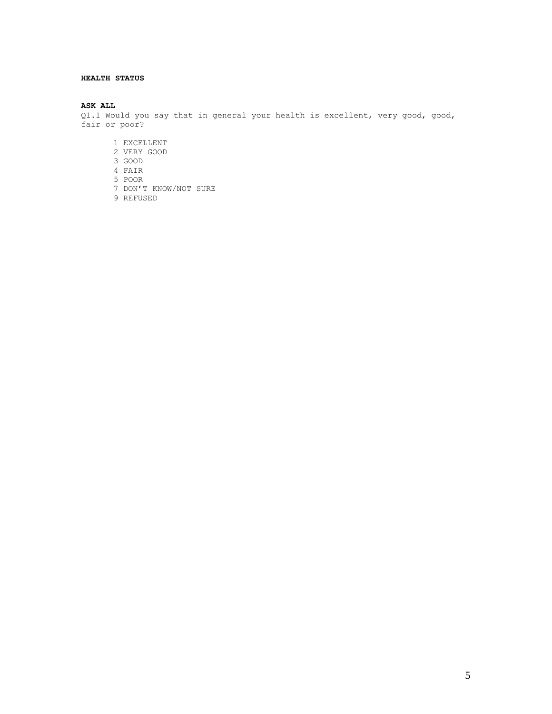# **HEALTH STATUS**

# **ASK ALL**

Q1.1 Would you say that in general your health is excellent, very good, good, fair or poor?

- 1 EXCELLENT 2 VERY GOOD 3 GOOD 4 FAIR 5 POOR
- 7 DON'T KNOW/NOT SURE
- 9 REFUSED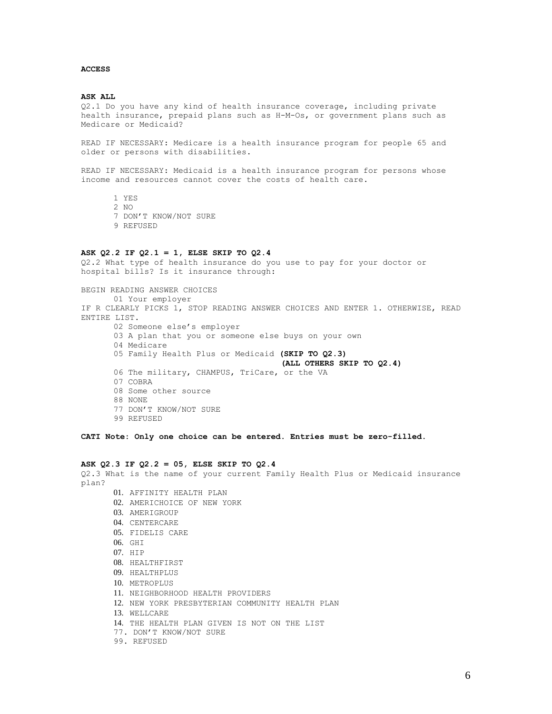#### **ACCESS**

#### **ASK ALL**

Q2.1 Do you have any kind of health insurance coverage, including private health insurance, prepaid plans such as H-M-Os, or government plans such as Medicare or Medicaid?

READ IF NECESSARY: Medicare is a health insurance program for people 65 and older or persons with disabilities.

READ IF NECESSARY: Medicaid is a health insurance program for persons whose income and resources cannot cover the costs of health care.

1 YES 2 NO

7 DON'T KNOW/NOT SURE

9 REFUSED

# **ASK Q2.2 IF Q2.1 = 1, ELSE SKIP TO Q2.4**

Q2.2 What type of health insurance do you use to pay for your doctor or hospital bills? Is it insurance through:

BEGIN READING ANSWER CHOICES

01 Your employer IF R CLEARLY PICKS 1, STOP READING ANSWER CHOICES AND ENTER 1. OTHERWISE, READ ENTIRE LIST. 02 Someone else's employer 03 A plan that you or someone else buys on your own 04 Medicare 05 Family Health Plus or Medicaid **(SKIP TO Q2.3) (ALL OTHERS SKIP TO Q2.4)** 06 The military, CHAMPUS, TriCare, or the VA 07 COBRA 08 Some other source 88 NONE 77 DON'T KNOW/NOT SURE 99 REFUSED

**CATI Note: Only one choice can be entered. Entries must be zero-filled.** 

# **ASK Q2.3 IF Q2.2 = 05, ELSE SKIP TO Q2.4**  Q2.3 What is the name of your current Family Health Plus or Medicaid insurance plan?

- 01. AFFINITY HEALTH PLAN
- 02. AMERICHOICE OF NEW YORK
- 03. AMERIGROUP
- 04. CENTERCARE
- 05. FIDELIS CARE
- 06. GHI
- 07. HIP
- 08. HEALTHFIRST
- 09. HEALTHPLUS
- 10. METROPLUS
- 11. NEIGHBORHOOD HEALTH PROVIDERS
- 12. NEW YORK PRESBYTERIAN COMMUNITY HEALTH PLAN
- 13. WELLCARE
- 14. THE HEALTH PLAN GIVEN IS NOT ON THE LIST
- 77. DON'T KNOW/NOT SURE
- 99. REFUSED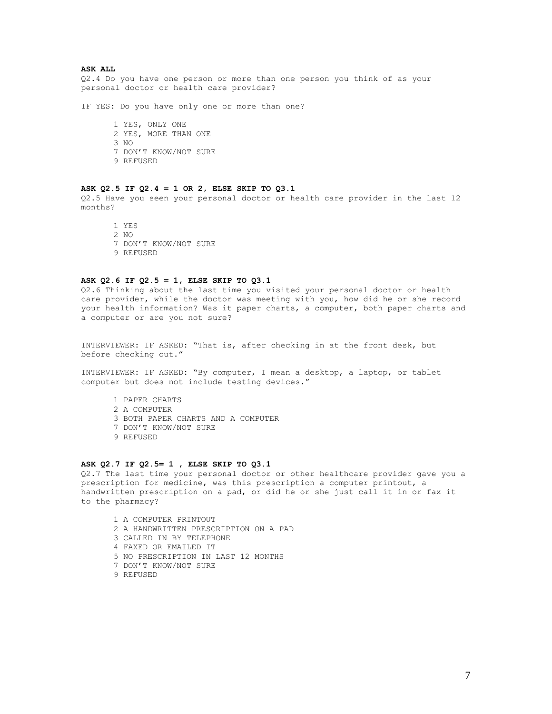#### **ASK ALL**

Q2.4 Do you have one person or more than one person you think of as your personal doctor or health care provider?

IF YES: Do you have only one or more than one?

1 YES, ONLY ONE 2 YES, MORE THAN ONE 3 NO 7 DON'T KNOW/NOT SURE 9 REFUSED

# **ASK Q2.5 IF Q2.4 = 1 OR 2, ELSE SKIP TO Q3.1**

Q2.5 Have you seen your personal doctor or health care provider in the last 12 months?

1 YES 2 NO 7 DON'T KNOW/NOT SURE 9 REFUSED

#### **ASK Q2.6 IF Q2.5 = 1, ELSE SKIP TO Q3.1**

Q2.6 Thinking about the last time you visited your personal doctor or health care provider, while the doctor was meeting with you, how did he or she record your health information? Was it paper charts, a computer, both paper charts and a computer or are you not sure?

INTERVIEWER: IF ASKED: "That is, after checking in at the front desk, but before checking out."

INTERVIEWER: IF ASKED: "By computer, I mean a desktop, a laptop, or tablet computer but does not include testing devices."

1 PAPER CHARTS 2 A COMPUTER 3 BOTH PAPER CHARTS AND A COMPUTER 7 DON'T KNOW/NOT SURE 9 REFUSED

#### **ASK Q2.7 IF Q2.5= 1 , ELSE SKIP TO Q3.1**

Q2.7 The last time your personal doctor or other healthcare provider gave you a prescription for medicine, was this prescription a computer printout, a handwritten prescription on a pad, or did he or she just call it in or fax it to the pharmacy?

1 A COMPUTER PRINTOUT 2 A HANDWRITTEN PRESCRIPTION ON A PAD 3 CALLED IN BY TELEPHONE 4 FAXED OR EMAILED IT 5 NO PRESCRIPTION IN LAST 12 MONTHS 7 DON'T KNOW/NOT SURE 9 REFUSED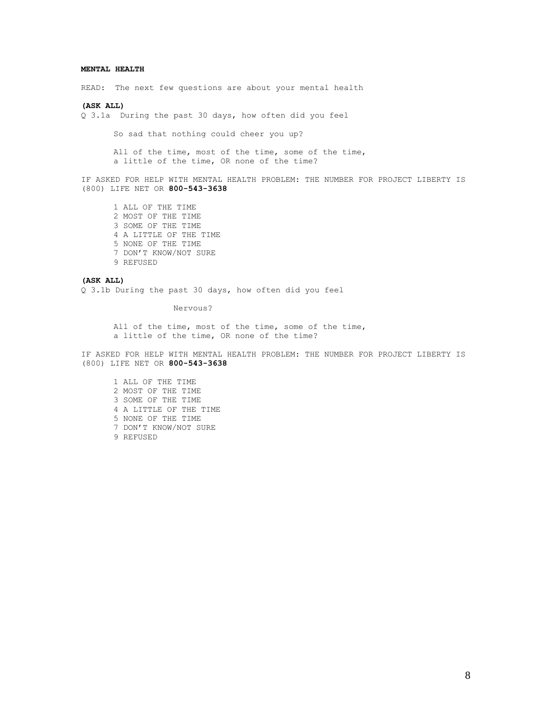#### **MENTAL HEALTH**

READ: The next few questions are about your mental health

# **(ASK ALL)**

Q 3.1aDuring the past 30 days, how often did you feel

So sad that nothing could cheer you up?

All of the time, most of the time, some of the time, a little of the time, OR none of the time?

IF ASKED FOR HELP WITH MENTAL HEALTH PROBLEM: THE NUMBER FOR PROJECT LIBERTY IS (800) LIFE NET OR **800-543-3638**

1 ALL OF THE TIME 2 MOST OF THE TIME 3 SOME OF THE TIME 4 A LITTLE OF THE TIME 5 NONE OF THE TIME 7 DON'T KNOW/NOT SURE 9 REFUSED

#### **(ASK ALL)**

Q 3.1b During the past 30 days, how often did you feel

Nervous?

All of the time, most of the time, some of the time, a little of the time, OR none of the time?

IF ASKED FOR HELP WITH MENTAL HEALTH PROBLEM: THE NUMBER FOR PROJECT LIBERTY IS (800) LIFE NET OR **800-543-3638**

1 ALL OF THE TIME 2 MOST OF THE TIME 3 SOME OF THE TIME 4 A LITTLE OF THE TIME 5 NONE OF THE TIME 7 DON'T KNOW/NOT SURE 9 REFUSED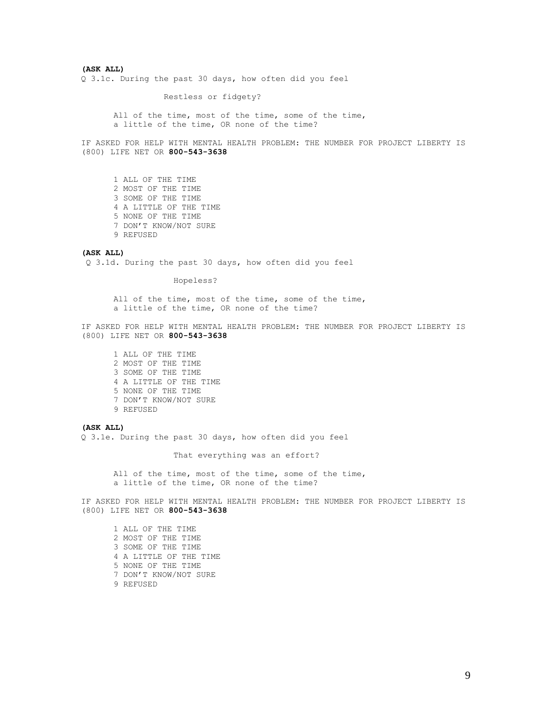#### **(ASK ALL)**

Q 3.1c. During the past 30 days, how often did you feel

Restless or fidgety?

All of the time, most of the time, some of the time, a little of the time, OR none of the time?

IF ASKED FOR HELP WITH MENTAL HEALTH PROBLEM: THE NUMBER FOR PROJECT LIBERTY IS (800) LIFE NET OR **800-543-3638**

1 ALL OF THE TIME 2 MOST OF THE TIME 3 SOME OF THE TIME 4 A LITTLE OF THE TIME 5 NONE OF THE TIME 7 DON'T KNOW/NOT SURE 9 REFUSED

**(ASK ALL)** Q 3.1d. During the past 30 days, how often did you feel

Hopeless?

All of the time, most of the time, some of the time, a little of the time, OR none of the time?

IF ASKED FOR HELP WITH MENTAL HEALTH PROBLEM: THE NUMBER FOR PROJECT LIBERTY IS (800) LIFE NET OR **800-543-3638**

1 ALL OF THE TIME 2 MOST OF THE TIME 3 SOME OF THE TIME 4 A LITTLE OF THE TIME 5 NONE OF THE TIME 7 DON'T KNOW/NOT SURE 9 REFUSED

#### **(ASK ALL)**

Q 3.1e. During the past 30 days, how often did you feel

That everything was an effort?

All of the time, most of the time, some of the time, a little of the time, OR none of the time?

IF ASKED FOR HELP WITH MENTAL HEALTH PROBLEM: THE NUMBER FOR PROJECT LIBERTY IS (800) LIFE NET OR **800-543-3638**

1 ALL OF THE TIME 2 MOST OF THE TIME 3 SOME OF THE TIME 4 A LITTLE OF THE TIME 5 NONE OF THE TIME 7 DON'T KNOW/NOT SURE 9 REFUSED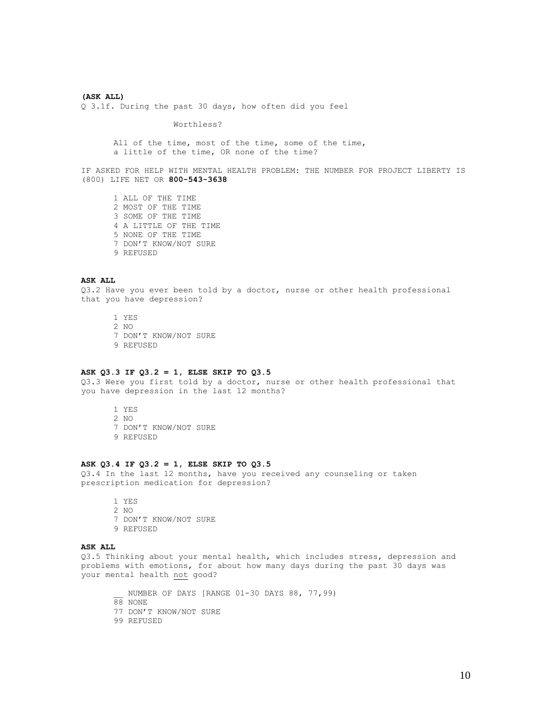#### **(ASK ALL)**  Q 3.1f. During the past 30 days, how often did you feel

#### Worthless?

All of the time, most of the time, some of the time, a little of the time, OR none of the time?

IF ASKED FOR HELP WITH MENTAL HEALTH PROBLEM: THE NUMBER FOR PROJECT LIBERTY IS (800) LIFE NET OR **800-543-3638**

1 ALL OF THE TIME 2 MOST OF THE TIME 3 SOME OF THE TIME 4 A LITTLE OF THE TIME 5 NONE OF THE TIME 7 DON'T KNOW/NOT SURE 9 REFUSED

#### **ASK ALL**

Q3.2 Have you ever been told by a doctor, nurse or other health professional that you have depression?

1 YES

- 2 NO
- 7 DON'T KNOW/NOT SURE 9 REFUSED
- 

# **ASK Q3.3 IF Q3.2 = 1, ELSE SKIP TO Q3.5**

Q3.3 Were you first told by a doctor, nurse or other health professional that you have depression in the last 12 months?

1 YES 2 NO 7 DON'T KNOW/NOT SURE 9 REFUSED

## **ASK Q3.4 IF Q3.2 = 1, ELSE SKIP TO Q3.5**

Q3.4 In the last 12 months, have you received any counseling or taken prescription medication for depression?

1 YES 2 NO 7 DON'T KNOW/NOT SURE 9 REFUSED

#### **ASK ALL**

Q3.5 Thinking about your mental health, which includes stress, depression and problems with emotions, for about how many days during the past 30 days was your mental health not good?

NUMBER OF DAYS [RANGE 01-30 DAYS 88, 77,99) 88 NONE 77 DON'T KNOW/NOT SURE 99 REFUSED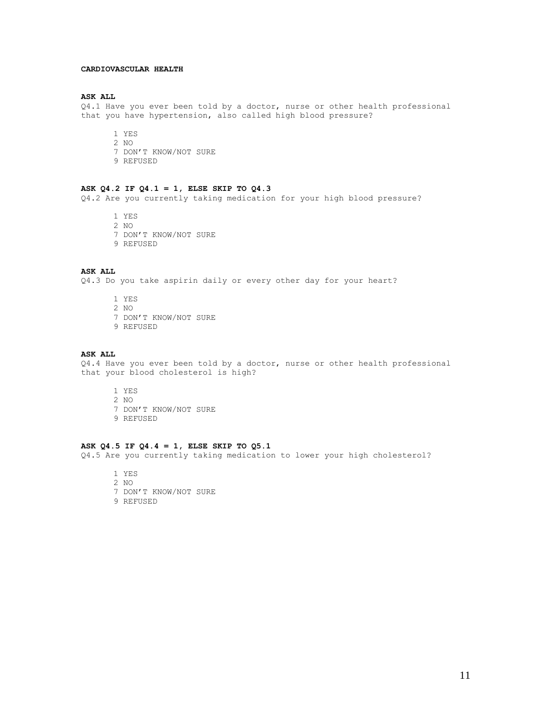## **CARDIOVASCULAR HEALTH**

#### **ASK ALL**

Q4.1 Have you ever been told by a doctor, nurse or other health professional that you have hypertension, also called high blood pressure?

1 YES

- 2 NO
- 7 DON'T KNOW/NOT SURE
- 9 REFUSED

# **ASK Q4.2 IF Q4.1 = 1, ELSE SKIP TO Q4.3**

Q4.2 Are you currently taking medication for your high blood pressure?

- 1 YES
- 2 NO
- 7 DON'T KNOW/NOT SURE
- 9 REFUSED

#### **ASK ALL**

Q4.3 Do you take aspirin daily or every other day for your heart?

1 YES 2 NO 7 DON'T KNOW/NOT SURE 9 REFUSED

# **ASK ALL**

Q4.4 Have you ever been told by a doctor, nurse or other health professional that your blood cholesterol is high?

1 YES 2 NO 7 DON'T KNOW/NOT SURE 9 REFUSED

# **ASK Q4.5 IF Q4.4 = 1, ELSE SKIP TO Q5.1**

Q4.5 Are you currently taking medication to lower your high cholesterol?

- 1 YES
- 2 NO
- 7 DON'T KNOW/NOT SURE
- 9 REFUSED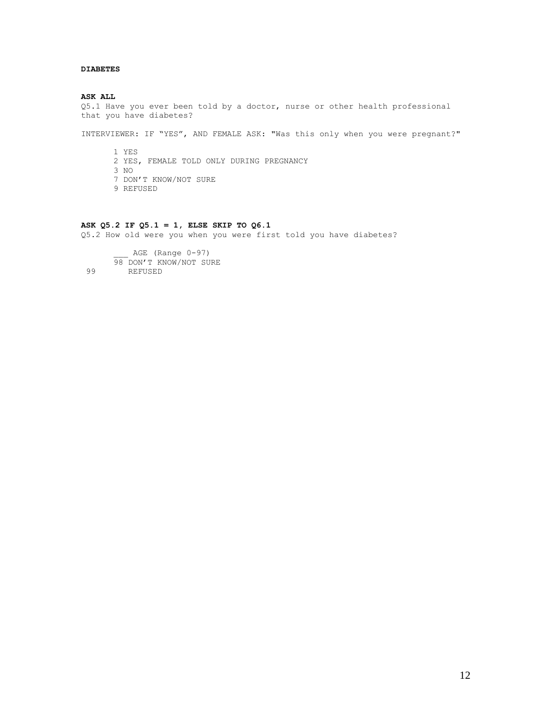# **DIABETES**

**ASK ALL**  Q5.1 Have you ever been told by a doctor, nurse or other health professional that you have diabetes?

INTERVIEWER: IF "YES", AND FEMALE ASK: "Was this only when you were pregnant?"

1 YES 2 YES, FEMALE TOLD ONLY DURING PREGNANCY 3 NO 7 DON'T KNOW/NOT SURE 9 REFUSED

# **ASK Q5.2 IF Q5.1 = 1, ELSE SKIP TO Q6.1**

Q5.2 How old were you when you were first told you have diabetes?

\_\_\_\_ AGE (Range 0-97) 98 DON'T KNOW/NOT SURE 99 REFUSED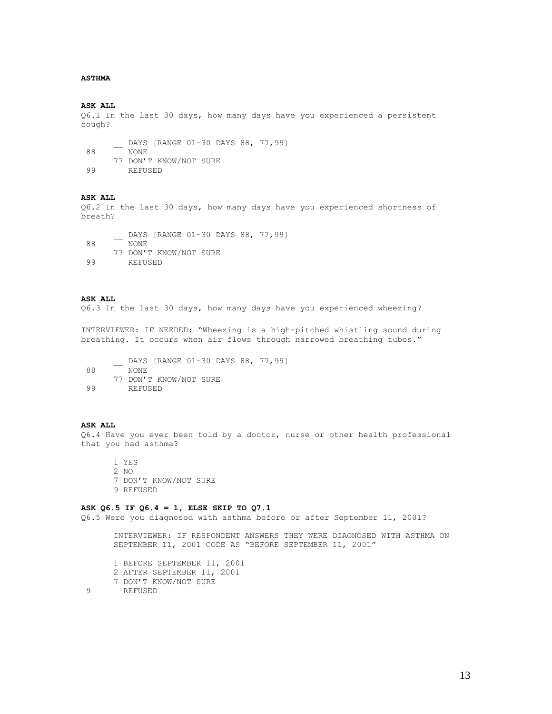## **ASTHMA**

#### **ASK ALL**

Q6.1 In the last 30 days, how many days have you experienced a persistent cough?

\_\_ DAYS [RANGE 01-30 DAYS 88, 77,99] 88 NONE 77 DON'T KNOW/NOT SURE<br>99 REFUSED 99 REFUSED

# **ASK ALL**

Q6.2 In the last 30 days, how many days have you experienced shortness of breath?

\_\_ DAYS [RANGE 01-30 DAYS 88, 77,99] 88 NONE 77 DON'T KNOW/NOT SURE<br>99 REFUSED 99 REFUSED

**ASK ALL** 

Q6.3 In the last 30 days, how many days have you experienced wheezing?

INTERVIEWER: IF NEEDED: "Wheezing is a high-pitched whistling sound during breathing. It occurs when air flows through narrowed breathing tubes."

\_\_ DAYS [RANGE 01-30 DAYS 88, 77,99] 88 NONE 77 DON'T KNOW/NOT SURE<br>99 REFUSED 99 REFUSED

#### **ASK ALL**

Q6.4 Have you ever been told by a doctor, nurse or other health professional that you had asthma?

1 YES 2 NO 7 DON'T KNOW/NOT SURE 9 REFUSED

#### **ASK Q6.5 IF Q6.4 = 1, ELSE SKIP TO Q7.1**

Q6.5 Were you diagnosed with asthma before or after September 11, 2001?

INTERVIEWER: IF RESPONDENT ANSWERS THEY WERE DIAGNOSED WITH ASTHMA ON SEPTEMBER 11, 2001 CODE AS "BEFORE SEPTEMBER 11, 2001"

- 1 BEFORE SEPTEMBER 11, 2001
- 2 AFTER SEPTEMBER 11, 2001
- 7 DON'T KNOW/NOT SURE<br>9 REFUSED

9 REFUSED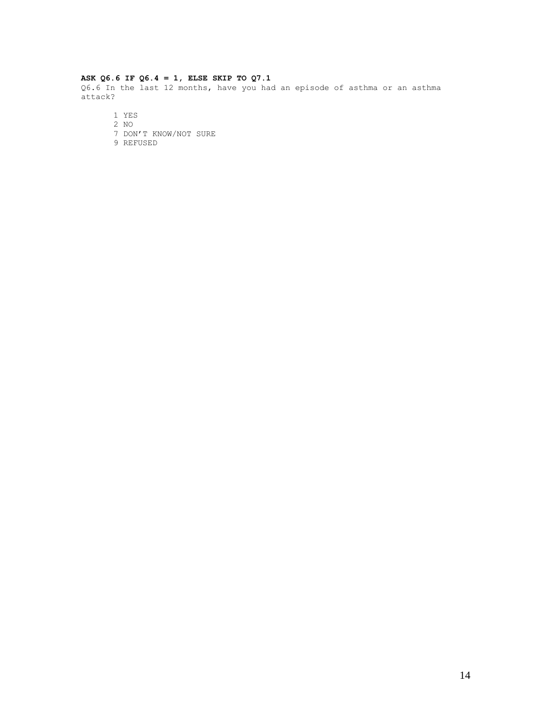#### **ASK Q6.6 IF Q6.4 = 1, ELSE SKIP TO Q7.1**

Q6.6 In the last 12 months, have you had an episode of asthma or an asthma attack?

1 YES

- 2 NO
- 7 DON'T KNOW/NOT SURE
- 9 REFUSED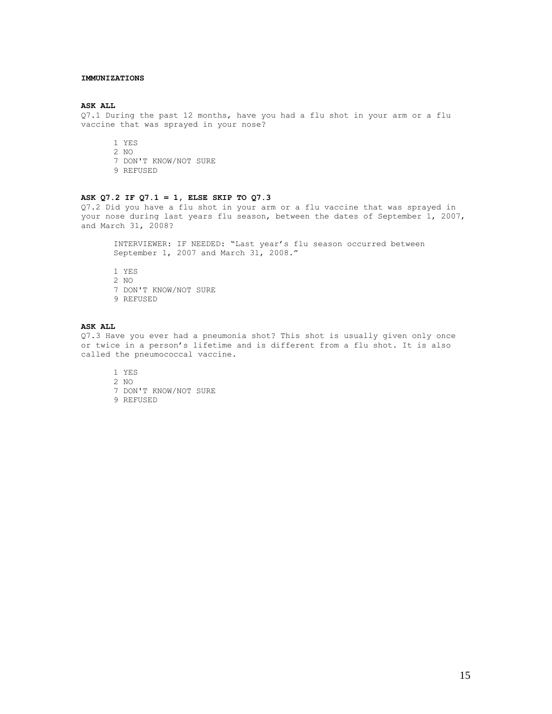#### **IMMUNIZATIONS**

## **ASK ALL**

Q7.1 During the past 12 months, have you had a flu shot in your arm or a flu vaccine that was sprayed in your nose?

1 YES

- 2 NO
- 7 DON'T KNOW/NOT SURE
- 9 REFUSED

# **ASK Q7.2 IF Q7.1 = 1, ELSE SKIP TO Q7.3**

Q7.2 Did you have a flu shot in your arm or a flu vaccine that was sprayed in your nose during last years flu season, between the dates of September 1, 2007, and March 31, 2008?

INTERVIEWER: IF NEEDED: "Last year's flu season occurred between September 1, 2007 and March 31, 2008."

1 YES 2 NO 7 DON'T KNOW/NOT SURE 9 REFUSED

#### **ASK ALL**

Q7.3 Have you ever had a pneumonia shot? This shot is usually given only once or twice in a person's lifetime and is different from a flu shot. It is also called the pneumococcal vaccine.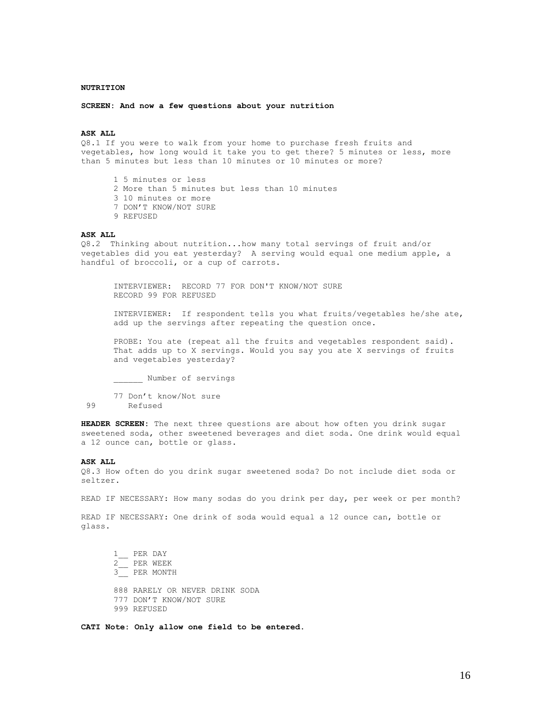#### **NUTRITION**

**SCREEN: And now a few questions about your nutrition** 

# **ASK ALL**

Q8.1 If you were to walk from your home to purchase fresh fruits and vegetables, how long would it take you to get there? 5 minutes or less, more than 5 minutes but less than 10 minutes or 10 minutes or more?

1 5 minutes or less 2 More than 5 minutes but less than 10 minutes 3 10 minutes or more 7 DON'T KNOW/NOT SURE 9 REFUSED

## **ASK ALL**

Q8.2 Thinking about nutrition...how many total servings of fruit and/or vegetables did you eat yesterday? A serving would equal one medium apple, a handful of broccoli, or a cup of carrots.

INTERVIEWER: RECORD 77 FOR DON'T KNOW/NOT SURE RECORD 99 FOR REFUSED

INTERVIEWER: If respondent tells you what fruits/vegetables he/she ate, add up the servings after repeating the question once.

PROBE: You ate (repeat all the fruits and vegetables respondent said). That adds up to X servings. Would you say you ate X servings of fruits and vegetables yesterday?

\_\_\_\_\_\_ Number of servings

77 Don't know/Not sure 99 Refused

**HEADER SCREEN:** The next three questions are about how often you drink sugar sweetened soda, other sweetened beverages and diet soda. One drink would equal a 12 ounce can, bottle or glass.

#### **ASK ALL**

Q8.3 How often do you drink sugar sweetened soda? Do not include diet soda or seltzer.

READ IF NECESSARY: How many sodas do you drink per day, per week or per month?

READ IF NECESSARY: One drink of soda would equal a 12 ounce can, bottle or glass.

1\_\_ PER DAY  $2$  PER WEEK 3\_\_ PER MONTH 888 RARELY OR NEVER DRINK SODA 777 DON'T KNOW/NOT SURE 999 REFUSED

**CATI Note: Only allow one field to be entered.**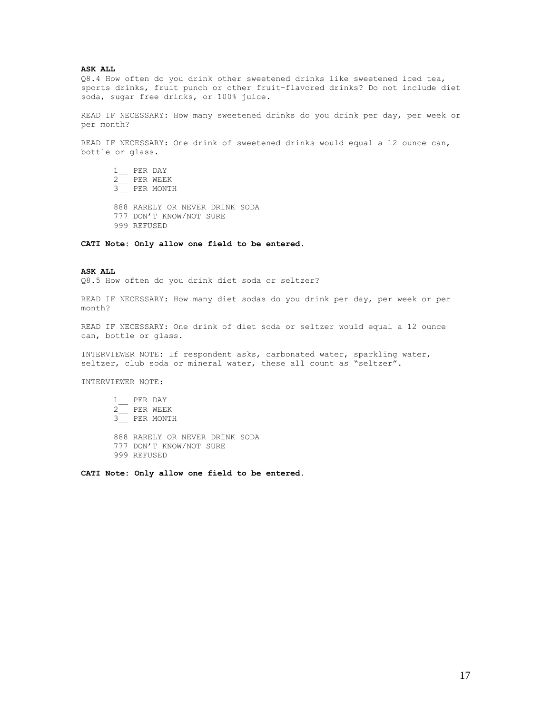#### **ASK ALL**

Q8.4 How often do you drink other sweetened drinks like sweetened iced tea, sports drinks, fruit punch or other fruit-flavored drinks? Do not include diet soda, sugar free drinks, or 100% juice.

READ IF NECESSARY: How many sweetened drinks do you drink per day, per week or per month?

READ IF NECESSARY: One drink of sweetened drinks would equal a 12 ounce can, bottle or glass.

1\_\_ PER DAY 2\_\_ PER WEEK 3\_\_ PER MONTH 888 RARELY OR NEVER DRINK SODA 777 DON'T KNOW/NOT SURE 999 REFUSED

#### **CATI Note: Only allow one field to be entered.**

#### **ASK ALL**

Q8.5 How often do you drink diet soda or seltzer?

READ IF NECESSARY: How many diet sodas do you drink per day, per week or per month?

READ IF NECESSARY: One drink of diet soda or seltzer would equal a 12 ounce can, bottle or glass.

INTERVIEWER NOTE: If respondent asks, carbonated water, sparkling water, seltzer, club soda or mineral water, these all count as "seltzer".

INTERVIEWER NOTE:

1\_\_ PER DAY 2\_\_ PER WEEK 3\_\_ PER MONTH

888 RARELY OR NEVER DRINK SODA 777 DON'T KNOW/NOT SURE 999 REFUSED

**CATI Note: Only allow one field to be entered.**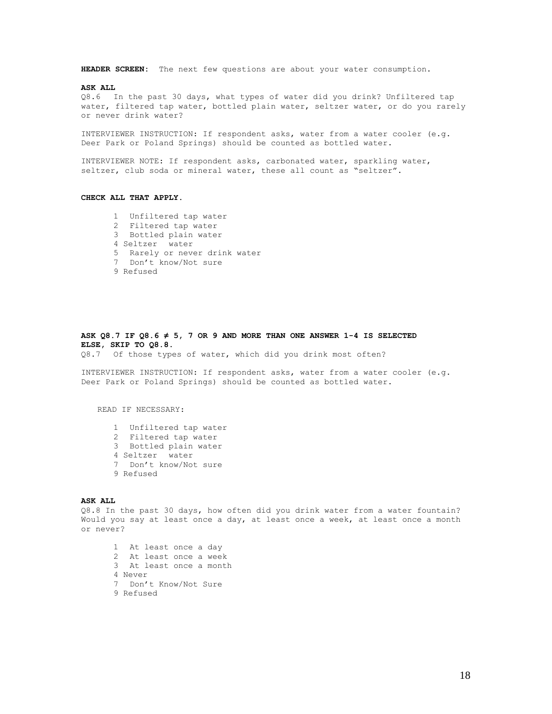**HEADER SCREEN:** The next few questions are about your water consumption.

#### **ASK ALL**

Q8.6 In the past 30 days, what types of water did you drink? Unfiltered tap water, filtered tap water, bottled plain water, seltzer water, or do you rarely or never drink water?

INTERVIEWER INSTRUCTION: If respondent asks, water from a water cooler (e.g. Deer Park or Poland Springs) should be counted as bottled water.

INTERVIEWER NOTE: If respondent asks, carbonated water, sparkling water, seltzer, club soda or mineral water, these all count as "seltzer".

#### **CHECK ALL THAT APPLY.**

1 Unfiltered tap water 2 Filtered tap water 3 Bottled plain water 4 Seltzer water 5 Rarely or never drink water 7 Don't know/Not sure 9 Refused

# ASK  $Q8.7$  IF  $Q8.6 \neq 5$ , 7 OR 9 AND MORE THAN ONE ANSWER 1-4 IS SELECTED **ELSE, SKIP TO Q8.8.**

Q8.7 Of those types of water, which did you drink most often?

INTERVIEWER INSTRUCTION: If respondent asks, water from a water cooler (e.g. Deer Park or Poland Springs) should be counted as bottled water.

READ IF NECESSARY:

1 Unfiltered tap water 2 Filtered tap water 3 Bottled plain water 4 Seltzer water 7 Don't know/Not sure 9 Refused

#### **ASK ALL**

Q8.8 In the past 30 days, how often did you drink water from a water fountain? Would you say at least once a day, at least once a week, at least once a month or never?

1 At least once a day<br>2 At least once a weel At least once a week 3 At least once a month 4 Never 7 Don't Know/Not Sure 9 Refused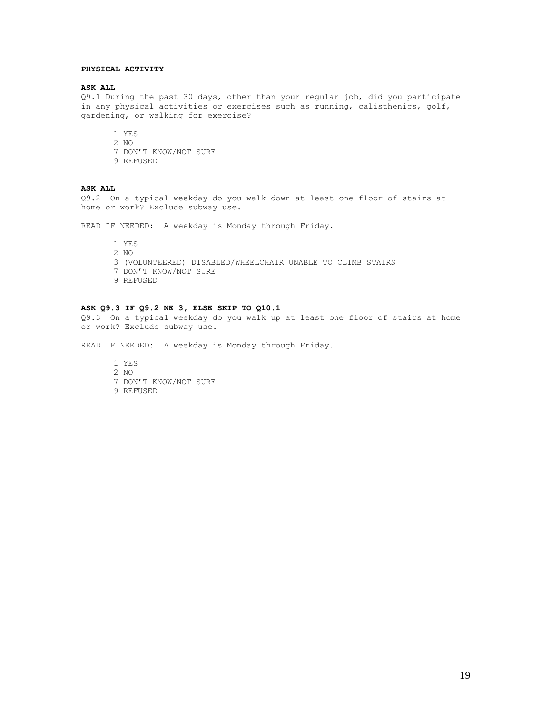#### **PHYSICAL ACTIVITY**

#### **ASK ALL**

Q9.1 During the past 30 days, other than your regular job, did you participate in any physical activities or exercises such as running, calisthenics, golf, gardening, or walking for exercise?

- 1 YES
- 2 NO
- 7 DON'T KNOW/NOT SURE
- 9 REFUSED

#### **ASK ALL**

Q9.2 On a typical weekday do you walk down at least one floor of stairs at home or work? Exclude subway use.

READ IF NEEDED: A weekday is Monday through Friday.

1 YES 2 NO 3 (VOLUNTEERED) DISABLED/WHEELCHAIR UNABLE TO CLIMB STAIRS 7 DON'T KNOW/NOT SURE 9 REFUSED

# **ASK Q9.3 IF Q9.2 NE 3, ELSE SKIP TO Q10.1**

Q9.3 On a typical weekday do you walk up at least one floor of stairs at home or work? Exclude subway use.

READ IF NEEDED: A weekday is Monday through Friday.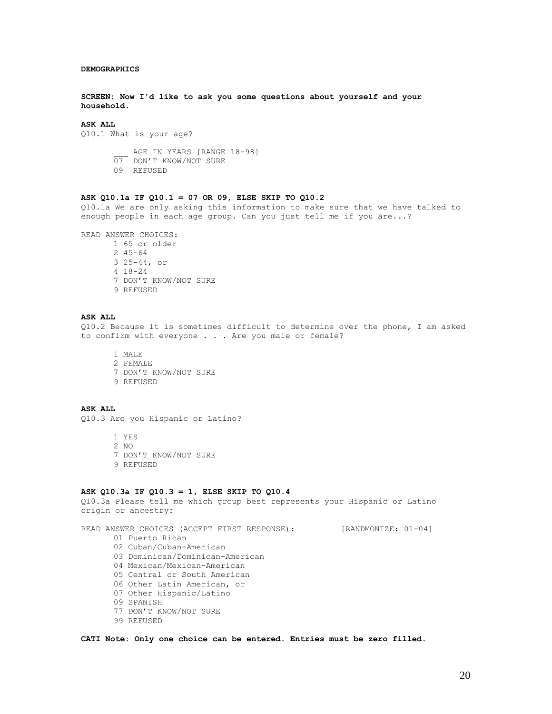#### **DEMOGRAPHICS**

**SCREEN: Now I'd like to ask you some questions about yourself and your household.** 

#### **ASK ALL**

Q10.1 What is your age?

\_\_\_ AGE IN YEARS [RANGE 18-98] 07 DON'T KNOW/NOT SURE 09 REFUSED

# **ASK Q10.1a IF Q10.1 = 07 OR 09, ELSE SKIP TO Q10.2**

Q10.1a We are only asking this information to make sure that we have talked to enough people in each age group. Can you just tell me if you are...?

READ ANSWER CHOICES:

1 65 or older 2 45-64 3 25-44, or 4 18-24 7 DON'T KNOW/NOT SURE 9 REFUSED

# **ASK ALL**

Q10.2 Because it is sometimes difficult to determine over the phone, I am asked to confirm with everyone . . . Are you male or female?

1 MALE 2 FEMALE 7 DON'T KNOW/NOT SURE 9 REFUSED

**ASK ALL** 

Q10.3 Are you Hispanic or Latino?

1 YES

- 2 NO
- 7 DON'T KNOW/NOT SURE
- 9 REFUSED

#### **ASK Q10.3a IF Q10.3 = 1, ELSE SKIP TO Q10.4**

Q10.3a Please tell me which group best represents your Hispanic or Latino origin or ancestry:

READ ANSWER CHOICES (ACCEPT FIRST RESPONSE): [RANDMONIZE: 01-04] 01 Puerto Rican 02 Cuban/Cuban-American 03 Dominican/Dominican-American 04 Mexican/Mexican-American 05 Central or South American 06 Other Latin American, or 07 Other Hispanic/Latino 09 SPANISH

- 
- 77 DON'T KNOW/NOT SURE

99 REFUSED

**CATI Note: Only one choice can be entered. Entries must be zero filled.**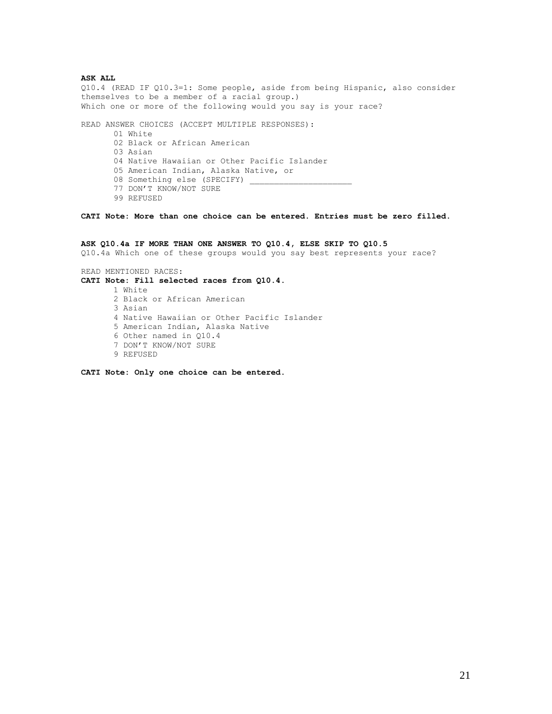**ASK ALL**  Q10.4 (READ IF Q10.3=1: Some people, aside from being Hispanic, also consider themselves to be a member of a racial group.) Which one or more of the following would you say is your race? READ ANSWER CHOICES (ACCEPT MULTIPLE RESPONSES): 01 White 02 Black or African American 03 Asian 04 Native Hawaiian or Other Pacific Islander 05 American Indian, Alaska Native, or 08 Something else (SPECIFY) 77 DON'T KNOW/NOT SURE 99 REFUSED

**CATI Note: More than one choice can be entered. Entries must be zero filled.** 

**ASK Q10.4a IF MORE THAN ONE ANSWER TO Q10.4, ELSE SKIP TO Q10.5**  Q10.4a Which one of these groups would you say best represents your race?

**CATI Note: Fill selected races from Q10.4.**  1 White 2 Black or African American 3 Asian 4 Native Hawaiian or Other Pacific Islander 5 American Indian, Alaska Native 6 Other named in Q10.4 7 DON'T KNOW/NOT SURE 9 REFUSED

**CATI Note: Only one choice can be entered.** 

READ MENTIONED RACES: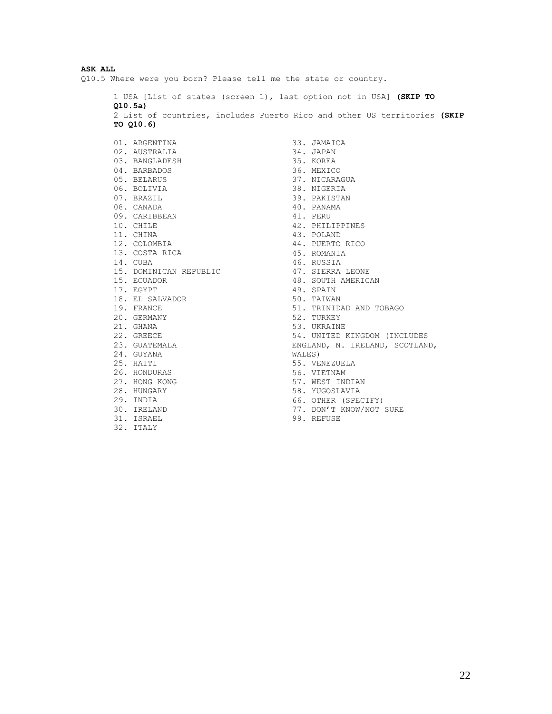## **ASK ALL**

Q10.5 Where were you born? Please tell me the state or country.

1 USA [List of states (screen 1), last option not in USA] **(SKIP TO Q10.5a)**  2 List of countries, includes Puerto Rico and other US territories **(SKIP** 

**TO Q10.6)** 

01. ARGENTINA 02. AUSTRALIA 03. BANGLADESH 04. BARBADOS 05. BELARUS 06. BOLIVIA 07. BRAZIL 08. CANADA 09. CARIBBEAN 10. CHILE 11. CHINA 12. COLOMBIA 13. COSTA RICA 14. CUBA 15. DOMINICAN REPUBLIC 15. ECUADOR 17. EGYPT 18. EL SALVADOR 19. FRANCE 20. GERMANY 21. GHANA 22. GREECE 23. GUATEMALA 24. GUYANA 25. HAITI 26. HONDURAS 27. HONG KONG 28. HUNGARY 29. INDIA 30. IRELAND 31. ISRAEL

32. ITALY

33. JAMAICA 34. JAPAN 35. KOREA 36. MEXICO 37. NICARAGUA 38. NIGERIA 39. PAKISTAN 40. PANAMA 41. PERU 42. PHILIPPINES 43. POLAND 44. PUERTO RICO 45. ROMANIA 46. RUSSIA 47. SIERRA LEONE 48. SOUTH AMERICAN 49. SPAIN 50. TAIWAN 51. TRINIDAD AND TOBAGO 52. TURKEY 53. UKRAINE 54. UNITED KINGDOM (INCLUDES ENGLAND, N. IRELAND, SCOTLAND, WALES) 55. VENEZUELA 56. VIETNAM 57. WEST INDIAN 58. YUGOSLAVIA 66. OTHER (SPECIFY) 77. DON'T KNOW/NOT SURE 99. REFUSE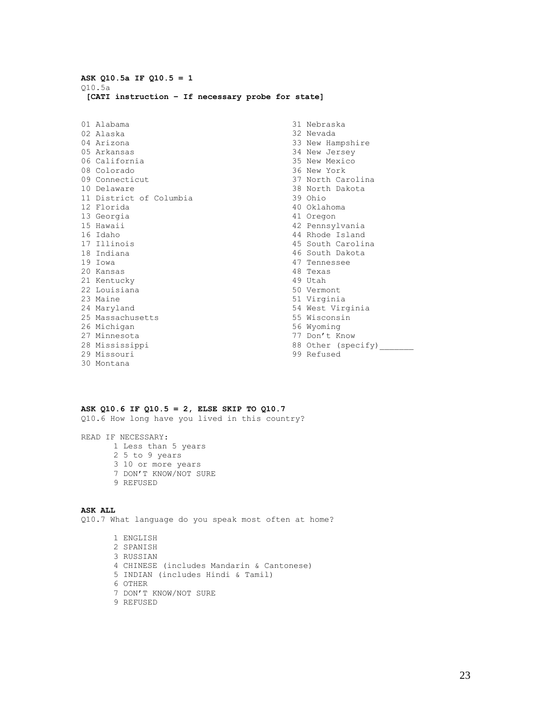**ASK Q10.5a IF Q10.5 = 1**  Q10.5a  **[CATI instruction – If necessary probe for state]** 

01 Alabama 02 Alaska 04 Arizona 05 Arkansas 06 California 08 Colorado 09 Connecticut 10 Delaware 11 District of Columbia 12 Florida 13 Georgia 15 Hawaii 16 Idaho 17 Illinois 18 Indiana 19 Iowa 20 Kansas 21 Kentucky 22 Louisiana 23 Maine 24 Maryland 25 Massachusetts 26 Michigan 27 Minnesota 28 Mississippi 29 Missouri

31 Nebraska 32 Nevada 33 New Hampshire 34 New Jersey 35 New Mexico 36 New York 37 North Carolina 38 North Dakota 39 Ohio 40 Oklahoma 41 Oregon 42 Pennsylvania 44 Rhode Island 45 South Carolina 46 South Dakota 47 Tennessee 48 Texas 49 Utah 50 Vermont 51 Virginia 54 West Virginia 55 Wisconsin 56 Wyoming 77 Don't Know 88 Other (specify)\_\_\_\_\_\_\_ 99 Refused

# **ASK Q10.6 IF Q10.5 = 2, ELSE SKIP TO Q10.7**

Q10.6 How long have you lived in this country?

READ IF NECESSARY: 1 Less than 5 years 2 5 to 9 years 3 10 or more years 7 DON'T KNOW/NOT SURE 9 REFUSED

# **ASK ALL**

30 Montana

Q10.7 What language do you speak most often at home?

1 ENGLISH 2 SPANISH 3 RUSSIAN 4 CHINESE (includes Mandarin & Cantonese) 5 INDIAN (includes Hindi & Tamil) 6 OTHER 7 DON'T KNOW/NOT SURE 9 REFUSED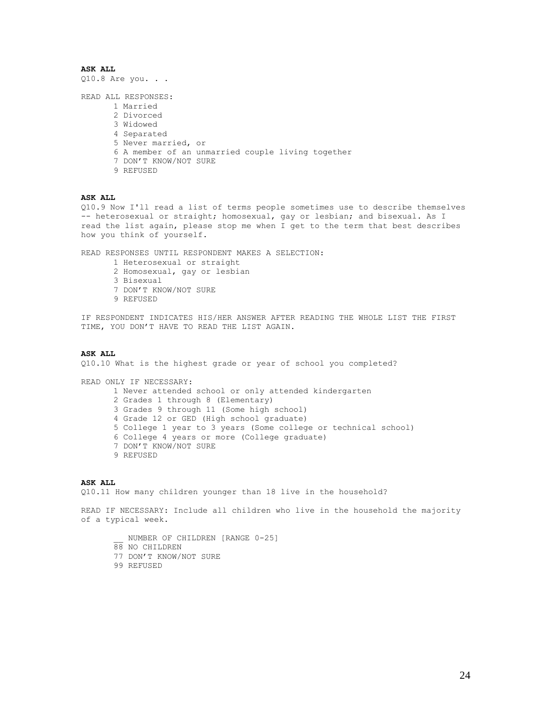**ASK ALL**  Q10.8 Are you. . .

READ ALL RESPONSES:

1 Married 2 Divorced 3 Widowed 4 Separated 5 Never married, or 6 A member of an unmarried couple living together 7 DON'T KNOW/NOT SURE 9 REFUSED

# **ASK ALL**

Q10.9 Now I'll read a list of terms people sometimes use to describe themselves -- heterosexual or straight; homosexual, gay or lesbian; and bisexual. As I read the list again, please stop me when I get to the term that best describes how you think of yourself.

READ RESPONSES UNTIL RESPONDENT MAKES A SELECTION:

- 1 Heterosexual or straight
- 2 Homosexual, gay or lesbian
- 3 Bisexual
- 7 DON'T KNOW/NOT SURE
- 9 REFUSED

IF RESPONDENT INDICATES HIS/HER ANSWER AFTER READING THE WHOLE LIST THE FIRST TIME, YOU DON'T HAVE TO READ THE LIST AGAIN.

#### **ASK ALL**

Q10.10 What is the highest grade or year of school you completed?

READ ONLY IF NECESSARY:

1 Never attended school or only attended kindergarten 2 Grades 1 through 8 (Elementary) 3 Grades 9 through 11 (Some high school) 4 Grade 12 or GED (High school graduate) 5 College 1 year to 3 years (Some college or technical school) 6 College 4 years or more (College graduate)

- 7 DON'T KNOW/NOT SURE
- 9 REFUSED

# **ASK ALL**

Q10.11 How many children younger than 18 live in the household?

READ IF NECESSARY: Include all children who live in the household the majority of a typical week.

NUMBER OF CHILDREN [RANGE 0-25] 88 NO CHILDREN 77 DON'T KNOW/NOT SURE 99 REFUSED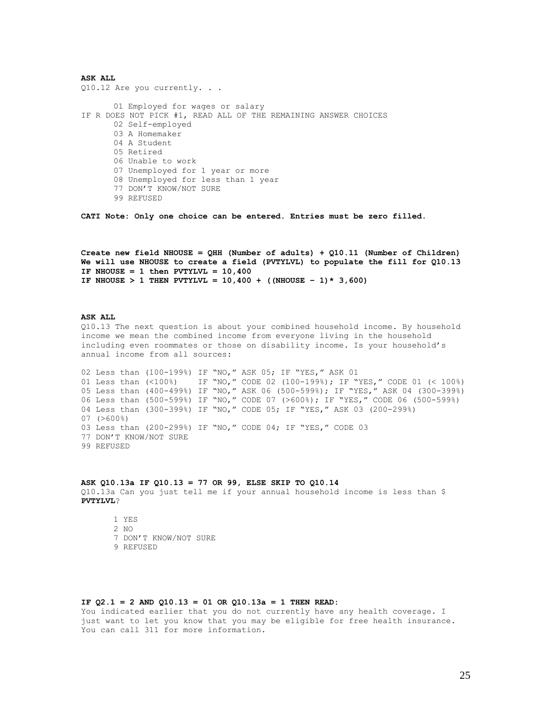**ASK ALL**  Q10.12 Are you currently. . . 01 Employed for wages or salary IF R DOES NOT PICK #1, READ ALL OF THE REMAINING ANSWER CHOICES 02 Self-employed 03 A Homemaker 04 A Student 05 Retired 06 Unable to work 07 Unemployed for 1 year or more 08 Unemployed for less than 1 year 77 DON'T KNOW/NOT SURE 99 REFUSED

**CATI Note: Only one choice can be entered. Entries must be zero filled.** 

**Create new field NHOUSE = QHH (Number of adults) + Q10.11 (Number of Children) We will use NHOUSE to create a field (PVTYLVL) to populate the fill for Q10.13 IF NHOUSE = 1 then PVTYLVL = 10,400 IF NHOUSE > 1 THEN PVTYLVL = 10,400 + ((NHOUSE - 1)\* 3,600)** 

# **ASK ALL**

Q10.13 The next question is about your combined household income. By household income we mean the combined income from everyone living in the household including even roommates or those on disability income. Is your household's annual income from all sources:

02 Less than (100-199%) IF "NO," ASK 05; IF "YES," ASK 01 01 Less than (<100%) IF "NO," CODE 02 (100-199%); IF "YES," CODE 01 (< 100%) 05 Less than (400-499%) IF "NO," ASK 06 (500-599%); IF "YES," ASK 04 (300-399%) 06 Less than (500-599%) IF "NO," CODE 07 (>600%); IF "YES," CODE 06 (500-599%) 04 Less than (300-399%) IF "NO," CODE 05; IF "YES," ASK 03 (200-299%) 07 (>600%) 03 Less than (200-299%) IF "NO," CODE 04; IF "YES," CODE 03 77 DON'T KNOW/NOT SURE 99 REFUSED

#### **ASK Q10.13a IF Q10.13 = 77 OR 99, ELSE SKIP TO Q10.14**

Q10.13a Can you just tell me if your annual household income is less than \$ **PVTYLVL**?

1 YES 2 NO 7 DON'T KNOW/NOT SURE 9 REFUSED

#### **IF Q2.1 = 2 AND Q10.13 = 01 OR Q10.13a = 1 THEN READ:**

You indicated earlier that you do not currently have any health coverage. I just want to let you know that you may be eligible for free health insurance. You can call 311 for more information.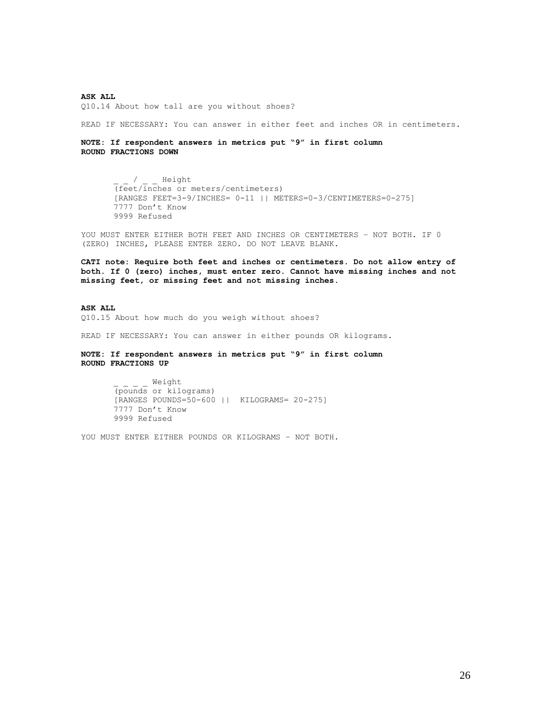**ASK ALL** 

Q10.14 About how tall are you without shoes?

READ IF NECESSARY: You can answer in either feet and inches OR in centimeters.

**NOTE: If respondent answers in metrics put "9" in first column ROUND FRACTIONS DOWN** 

> / Height (feet/inches or meters/centimeters) [RANGES FEET=3-9/INCHES= 0-11 || METERS=0-3/CENTIMETERS=0-275] 7777 Don't Know 9999 Refused

YOU MUST ENTER EITHER BOTH FEET AND INCHES OR CENTIMETERS – NOT BOTH. IF 0 (ZERO) INCHES, PLEASE ENTER ZERO. DO NOT LEAVE BLANK.

**CATI note: Require both feet and inches or centimeters. Do not allow entry of both. If 0 (zero) inches, must enter zero. Cannot have missing inches and not missing feet, or missing feet and not missing inches.** 

**ASK ALL**  Q10.15 About how much do you weigh without shoes?

READ IF NECESSARY: You can answer in either pounds OR kilograms.

**NOTE: If respondent answers in metrics put "9" in first column ROUND FRACTIONS UP** 

> \_ Weight (pounds or kilograms) [RANGES POUNDS=50-600 || KILOGRAMS= 20-275] 7777 Don't Know 9999 Refused

YOU MUST ENTER EITHER POUNDS OR KILOGRAMS – NOT BOTH.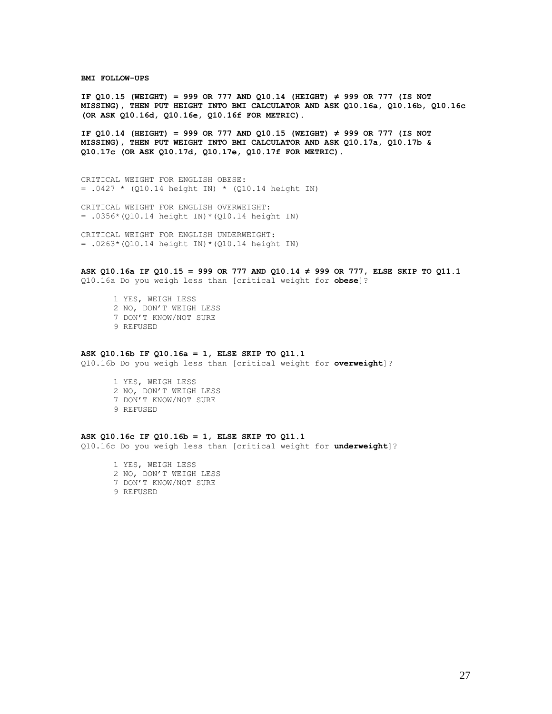#### **BMI FOLLOW-UPS**

**IF Q10.15 (WEIGHT) = 999 OR 777 AND Q10.14 (HEIGHT) ≠ 999 OR 777 (IS NOT MISSING), THEN PUT HEIGHT INTO BMI CALCULATOR AND ASK Q10.16a, Q10.16b, Q10.16c (OR ASK Q10.16d, Q10.16e, Q10.16f FOR METRIC).** 

**IF Q10.14 (HEIGHT) = 999 OR 777 AND Q10.15 (WEIGHT) ≠ 999 OR 777 (IS NOT MISSING), THEN PUT WEIGHT INTO BMI CALCULATOR AND ASK Q10.17a, Q10.17b & Q10.17c (OR ASK Q10.17d, Q10.17e, Q10.17f FOR METRIC).** 

CRITICAL WEIGHT FOR ENGLISH OBESE:  $= .0427 * (Q10.14 height IN) * (Q10.14 height IN)$ 

CRITICAL WEIGHT FOR ENGLISH OVERWEIGHT:  $= .0356*(Q10.14 \text{ height} \text{IN})*(Q10.14 \text{ height} \text{IN})$ 

CRITICAL WEIGHT FOR ENGLISH UNDERWEIGHT: = .0263\*(Q10.14 height IN)\*(Q10.14 height IN)

**ASK Q10.16a IF Q10.15 = 999 OR 777 AND Q10.14 ≠ 999 OR 777, ELSE SKIP TO Q11.1**  Q10.16a Do you weigh less than [critical weight for **obese**]?

1 YES, WEIGH LESS 2 NO, DON'T WEIGH LESS 7 DON'T KNOW/NOT SURE 9 REFUSED

#### **ASK Q10.16b IF Q10.16a = 1, ELSE SKIP TO Q11.1**

Q10.16b Do you weigh less than [critical weight for **overweight**]?

1 YES, WEIGH LESS 2 NO, DON'T WEIGH LESS 7 DON'T KNOW/NOT SURE 9 REFUSED

## **ASK Q10.16c IF Q10.16b = 1, ELSE SKIP TO Q11.1**

Q10.16c Do you weigh less than [critical weight for **underweight**]?

1 YES, WEIGH LESS 2 NO, DON'T WEIGH LESS 7 DON'T KNOW/NOT SURE 9 REFUSED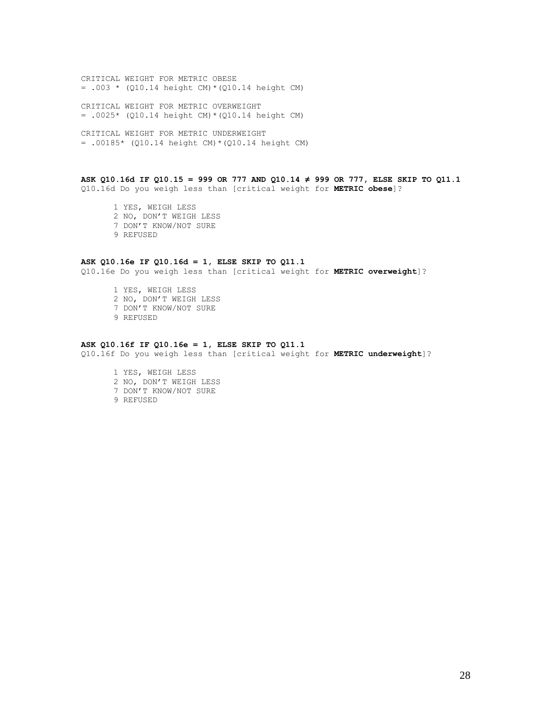CRITICAL WEIGHT FOR METRIC OBESE  $= .003 * (Q10.14 height CM) * (Q10.14 height CM)$ 

CRITICAL WEIGHT FOR METRIC OVERWEIGHT = .0025\* (Q10.14 height CM)\*(Q10.14 height CM)

CRITICAL WEIGHT FOR METRIC UNDERWEIGHT = .00185\* (Q10.14 height CM)\*(Q10.14 height CM)

**ASK Q10.16d IF Q10.15 = 999 OR 777 AND Q10.14 ≠ 999 OR 777, ELSE SKIP TO Q11.1**  Q10.16d Do you weigh less than [critical weight for **METRIC obese**]?

1 YES, WEIGH LESS 2 NO, DON'T WEIGH LESS 7 DON'T KNOW/NOT SURE

9 REFUSED

#### **ASK Q10.16e IF Q10.16d = 1, ELSE SKIP TO Q11.1**

Q10.16e Do you weigh less than [critical weight for **METRIC overweight**]?

1 YES, WEIGH LESS 2 NO, DON'T WEIGH LESS 7 DON'T KNOW/NOT SURE

9 REFUSED

#### **ASK Q10.16f IF Q10.16e = 1, ELSE SKIP TO Q11.1**

Q10.16f Do you weigh less than [critical weight for **METRIC underweight**]?

- 1 YES, WEIGH LESS
- 2 NO, DON'T WEIGH LESS
- 7 DON'T KNOW/NOT SURE
- 9 REFUSED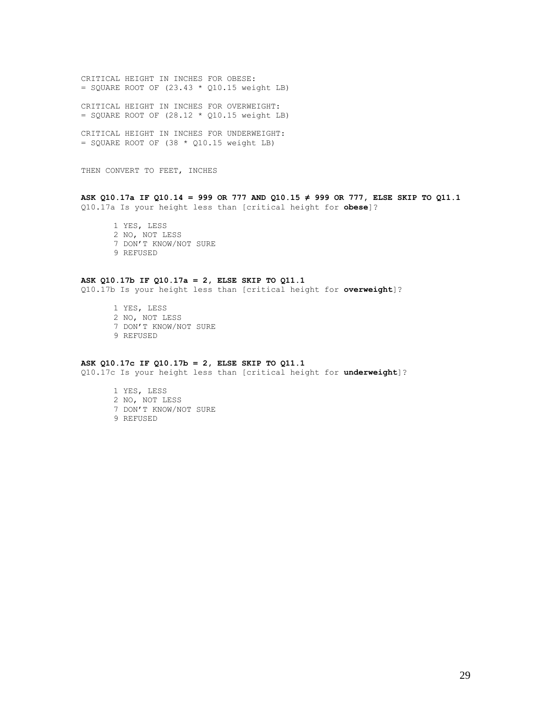CRITICAL HEIGHT IN INCHES FOR OBESE:  $=$  SQUARE ROOT OF (23.43  $*$  Q10.15 weight LB)

CRITICAL HEIGHT IN INCHES FOR OVERWEIGHT:  $=$  SQUARE ROOT OF (28.12  $*$  Q10.15 weight LB)

CRITICAL HEIGHT IN INCHES FOR UNDERWEIGHT:  $=$  SQUARE ROOT OF (38  $*$  Q10.15 weight LB)

THEN CONVERT TO FEET, INCHES

# **ASK Q10.17a IF Q10.14 = 999 OR 777 AND Q10.15 ≠ 999 OR 777, ELSE SKIP TO Q11.1**

Q10.17a Is your height less than [critical height for **obese**]?

1 YES, LESS 2 NO, NOT LESS 7 DON'T KNOW/NOT SURE 9 REFUSED

**ASK Q10.17b IF Q10.17a = 2, ELSE SKIP TO Q11.1**  Q10.17b Is your height less than [critical height for **overweight**]?

> 1 YES, LESS 2 NO, NOT LESS 7 DON'T KNOW/NOT SURE 9 REFUSED

## **ASK Q10.17c IF Q10.17b = 2, ELSE SKIP TO Q11.1**

Q10.17c Is your height less than [critical height for **underweight**]?

1 YES, LESS 2 NO, NOT LESS 7 DON'T KNOW/NOT SURE 9 REFUSED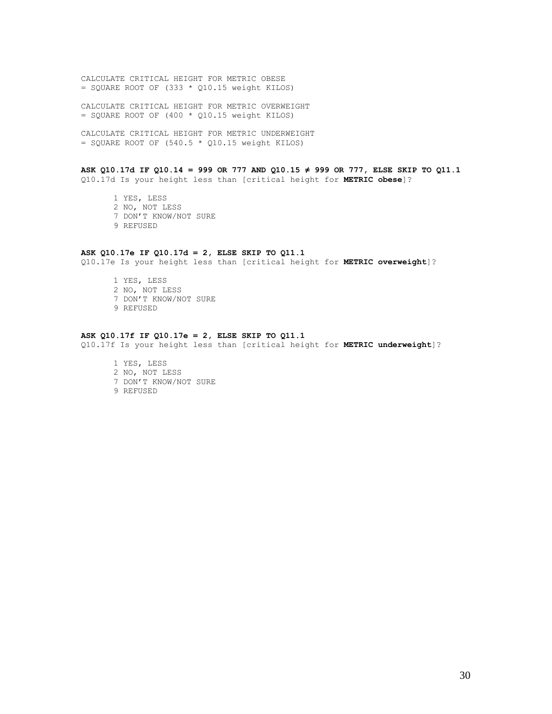CALCULATE CRITICAL HEIGHT FOR METRIC OBESE  $=$  SQUARE ROOT OF (333  $*$  Q10.15 weight KILOS)

CALCULATE CRITICAL HEIGHT FOR METRIC OVERWEIGHT  $=$  SQUARE ROOT OF (400  $*$  Q10.15 weight KILOS)

CALCULATE CRITICAL HEIGHT FOR METRIC UNDERWEIGHT  $=$  SQUARE ROOT OF (540.5  $*$  Q10.15 weight KILOS)

**ASK Q10.17d IF Q10.14 = 999 OR 777 AND Q10.15 ≠ 999 OR 777, ELSE SKIP TO Q11.1** Q10.17d Is your height less than [critical height for **METRIC obese**]?

1 YES, LESS 2 NO, NOT LESS 7 DON'T KNOW/NOT SURE 9 REFUSED

# **ASK Q10.17e IF Q10.17d = 2, ELSE SKIP TO Q11.1**

Q10.17e Is your height less than [critical height for **METRIC overweight**]?

1 YES, LESS 2 NO, NOT LESS 7 DON'T KNOW/NOT SURE 9 REFUSED

#### **ASK Q10.17f IF Q10.17e = 2, ELSE SKIP TO Q11.1**

Q10.17f Is your height less than [critical height for **METRIC underweight**]?

1 YES, LESS 2 NO, NOT LESS 7 DON'T KNOW/NOT SURE 9 REFUSED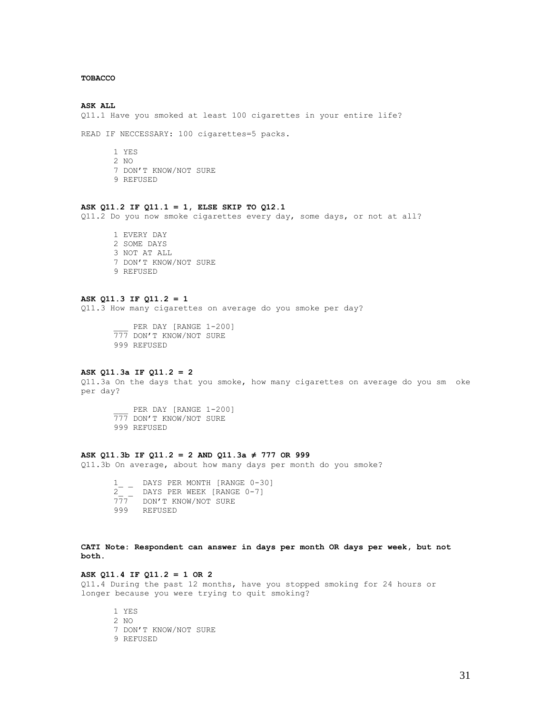#### **TOBACCO**

#### **ASK ALL**

Q11.1 Have you smoked at least 100 cigarettes in your entire life?

READ IF NECCESSARY: 100 cigarettes=5 packs.

1 YES 2 NO 7 DON'T KNOW/NOT SURE 9 REFUSED

#### **ASK Q11.2 IF Q11.1 = 1, ELSE SKIP TO Q12.1**

Q11.2 Do you now smoke cigarettes every day, some days, or not at all?

1 EVERY DAY 2 SOME DAYS 3 NOT AT ALL 7 DON'T KNOW/NOT SURE 9 REFUSED

## **ASK Q11.3 IF Q11.2 = 1**

Q11.3 How many cigarettes on average do you smoke per day?

PER DAY [RANGE 1-200] 777 DON'T KNOW/NOT SURE 999 REFUSED

# **ASK Q11.3a IF Q11.2 = 2**

Q11.3a On the days that you smoke, how many cigarettes on average do you sm oke per day?

PER DAY [RANGE 1-200] 777 DON'T KNOW/NOT SURE 999 REFUSED

#### **ASK Q11.3b IF Q11.2 = 2 AND Q11.3a ≠ 777 OR 999**

Q11.3b On average, about how many days per month do you smoke?

 $1\_\_$   $\_$  DAYS PER MONTH [RANGE 0-30]  $2\_\_$   $\_$  DAYS PER WEEK [RANGE 0-7] 777 DON'T KNOW/NOT SURE 999 REFUSED

## **CATI Note: Respondent can answer in days per month OR days per week, but not both.**

# **ASK Q11.4 IF Q11.2 = 1 OR 2**

Q11.4 During the past 12 months, have you stopped smoking for 24 hours or longer because you were trying to quit smoking?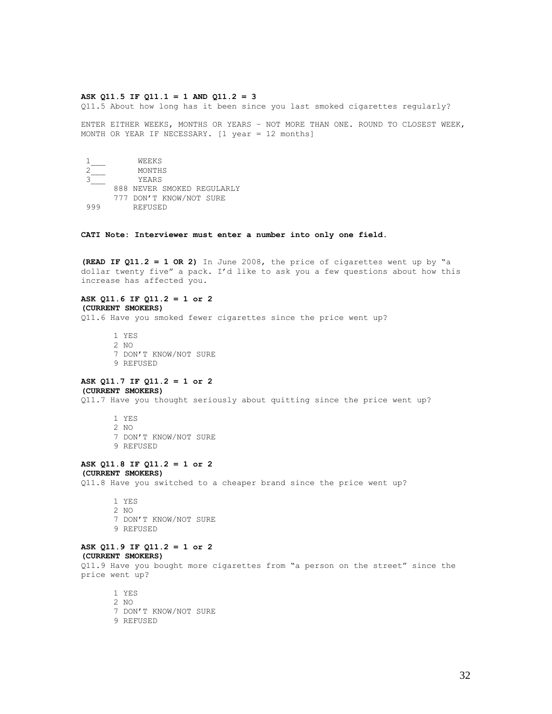#### **ASK Q11.5 IF Q11.1 = 1 AND Q11.2 = 3**

Q11.5 About how long has it been since you last smoked cigarettes regularly?

ENTER EITHER WEEKS, MONTHS OR YEARS – NOT MORE THAN ONE. ROUND TO CLOSEST WEEK, MONTH OR YEAR IF NECESSARY. [1 year = 12 months]

|     | WEEKS                      |  |  |  |
|-----|----------------------------|--|--|--|
|     | MONTHS                     |  |  |  |
|     | YEARS                      |  |  |  |
|     | 888 NEVER SMOKED REGULARLY |  |  |  |
|     | 777 DON'T KNOW/NOT SURE    |  |  |  |
| 999 | <b>REFUSED</b>             |  |  |  |

**CATI Note: Interviewer must enter a number into only one field.** 

**(READ IF Q11.2 = 1 OR 2)** In June 2008, the price of cigarettes went up by "a dollar twenty five" a pack. I'd like to ask you a few questions about how this increase has affected you.

#### **ASK Q11.6 IF Q11.2 = 1 or 2 (CURRENT SMOKERS)**

Q11.6 Have you smoked fewer cigarettes since the price went up?

1 YES 2 NO 7 DON'T KNOW/NOT SURE 9 REFUSED

#### **ASK Q11.7 IF Q11.2 = 1 or 2 (CURRENT SMOKERS)**

Q11.7 Have you thought seriously about quitting since the price went up?

1 YES 2 NO 7 DON'T KNOW/NOT SURE 9 REFUSED

#### **ASK Q11.8 IF Q11.2 = 1 or 2 (CURRENT SMOKERS)**

Q11.8 Have you switched to a cheaper brand since the price went up?

1 YES 2 NO 7 DON'T KNOW/NOT SURE 9 REFUSED

#### **ASK Q11.9 IF Q11.2 = 1 or 2 (CURRENT SMOKERS)**

Q11.9 Have you bought more cigarettes from "a person on the street" since the price went up?

- 1 YES
- 2 NO
- 7 DON'T KNOW/NOT SURE
- 9 REFUSED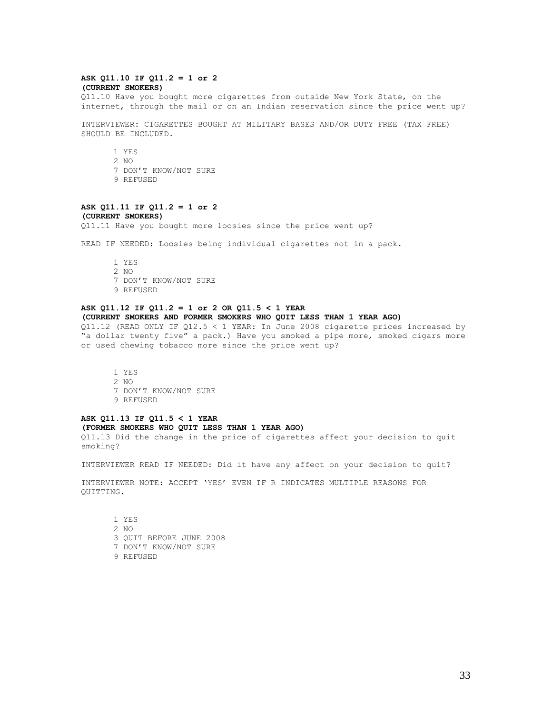#### **ASK Q11.10 IF Q11.2 = 1 or 2 (CURRENT SMOKERS)**

Q11.10 Have you bought more cigarettes from outside New York State, on the internet, through the mail or on an Indian reservation since the price went up?

INTERVIEWER: CIGARETTES BOUGHT AT MILITARY BASES AND/OR DUTY FREE (TAX FREE) SHOULD BE INCLUDED.

- 1 YES 2 NO 7 DON'T KNOW/NOT SURE 9 REFUSED
- 

#### **ASK Q11.11 IF Q11.2 = 1 or 2 (CURRENT SMOKERS)**

Q11.11 Have you bought more loosies since the price went up?

READ IF NEEDED: Loosies being individual cigarettes not in a pack.

1 YES 2 NO 7 DON'T KNOW/NOT SURE 9 REFUSED

## **ASK Q11.12 IF Q11.2 = 1 or 2 OR Q11.5 < 1 YEAR (CURRENT SMOKERS AND FORMER SMOKERS WHO QUIT LESS THAN 1 YEAR AGO)**

Q11.12 (READ ONLY IF Q12.5 < 1 YEAR: In June 2008 cigarette prices increased by "a dollar twenty five" a pack.) Have you smoked a pipe more, smoked cigars more or used chewing tobacco more since the price went up?

1 YES 2 NO 7 DON'T KNOW/NOT SURE 9 REFUSED

# **ASK Q11.13 IF Q11.5 < 1 YEAR (FORMER SMOKERS WHO QUIT LESS THAN 1 YEAR AGO)**

Q11.13 Did the change in the price of cigarettes affect your decision to quit smoking?

INTERVIEWER READ IF NEEDED: Did it have any affect on your decision to quit?

INTERVIEWER NOTE: ACCEPT 'YES' EVEN IF R INDICATES MULTIPLE REASONS FOR QUITTING.

1 YES 2 NO 3 QUIT BEFORE JUNE 2008 7 DON'T KNOW/NOT SURE 9 REFUSED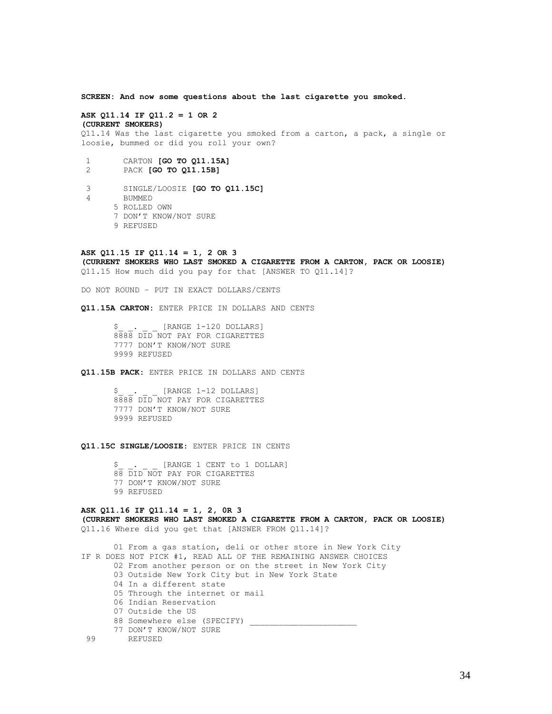**SCREEN: And now some questions about the last cigarette you smoked.** 

# **ASK Q11.14 IF Q11.2 = 1 OR 2 (CURRENT SMOKERS)**

Q11.14 Was the last cigarette you smoked from a carton, a pack, a single or loosie, bummed or did you roll your own?

- 1 CARTON **[GO TO Q11.15A]**  2 PACK **[GO TO Q11.15B]**
- 3 SINGLE/LOOSIE **[GO TO Q11.15C]**
- 4 BUMMED
	- 5 ROLLED OWN
	- 7 DON'T KNOW/NOT SURE
	- 9 REFUSED

**ASK Q11.15 IF Q11.14 = 1, 2 OR 3 (CURRENT SMOKERS WHO LAST SMOKED A CIGARETTE FROM A CARTON, PACK OR LOOSIE)**  Q11.15 How much did you pay for that [ANSWER TO Q11.14]?

DO NOT ROUND – PUT IN EXACT DOLLARS/CENTS

**Q11.15A CARTON:** ENTER PRICE IN DOLLARS AND CENTS

[RANGE 1-120 DOLLARS] 8888 DID NOT PAY FOR CIGARETTES 7777 DON'T KNOW/NOT SURE 9999 REFUSED

**Q11.15B PACK:** ENTER PRICE IN DOLLARS AND CENTS

 $S_ -$  .  $\_$  [RANGE 1-12 DOLLARS] 8888 DID NOT PAY FOR CIGARETTES 7777 DON'T KNOW/NOT SURE 9999 REFUSED

**Q11.15C SINGLE/LOOSIE**: ENTER PRICE IN CENTS

\$. [RANGE 1 CENT to 1 DOLLAR] 88 DID NOT PAY FOR CIGARETTES 77 DON'T KNOW/NOT SURE 99 REFUSED

# **ASK Q11.16 IF Q11.14 = 1, 2, 0R 3**

**(CURRENT SMOKERS WHO LAST SMOKED A CIGARETTE FROM A CARTON, PACK OR LOOSIE)**  Q11.16 Where did you get that [ANSWER FROM Q11.14]?

 01 From a gas station, deli or other store in New York City IF R DOES NOT PICK #1, READ ALL OF THE REMAINING ANSWER CHOICES 02 From another person or on the street in New York City 03 Outside New York City but in New York State 04 In a different state 05 Through the internet or mail 06 Indian Reservation 07 Outside the US 88 Somewhere else (SPECIFY) \_\_\_\_\_\_\_\_\_\_\_\_\_\_\_\_\_\_\_\_\_\_ 77 DON'T KNOW/NOT SURE 99 REFUSED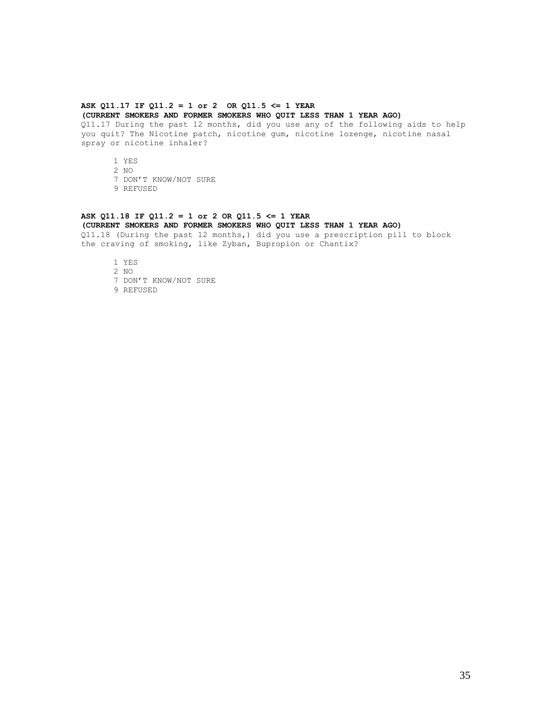# **ASK Q11.17 IF Q11.2 = 1 or 2 OR Q11.5 <= 1 YEAR**

**(CURRENT SMOKERS AND FORMER SMOKERS WHO QUIT LESS THAN 1 YEAR AGO)** 

Q11.17 During the past 12 months, did you use any of the following aids to help you quit? The Nicotine patch, nicotine gum, nicotine lozenge, nicotine nasal spray or nicotine inhaler?

1 YES

2 NO

7 DON'T KNOW/NOT SURE

9 REFUSED

# **ASK Q11.18 IF Q11.2 = 1 or 2 OR Q11.5 <= 1 YEAR**

# **(CURRENT SMOKERS AND FORMER SMOKERS WHO QUIT LESS THAN 1 YEAR AGO)**

Q11.18 (During the past 12 months,) did you use a prescription pill to block the craving of smoking, like Zyban, Bupropion or Chantix?

1 YES 2 NO 7 DON'T KNOW/NOT SURE

9 REFUSED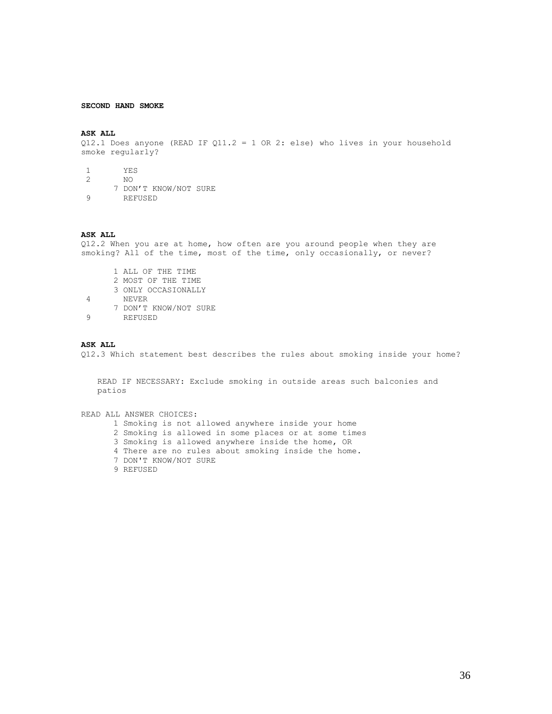# **SECOND HAND SMOKE**

## **ASK ALL**

Q12.1 Does anyone (READ IF Q11.2 = 1 OR 2: else) who lives in your household smoke regularly?

- 1 YES<br>2 NO
- 2 NO
- 7 DON'T KNOW/NOT SURE<br>9 REFUSED
- **REFUSED**

#### **ASK ALL**

Q12.2 When you are at home, how often are you around people when they are smoking? All of the time, most of the time, only occasionally, or never?

- 1 ALL OF THE TIME
- 2 MOST OF THE TIME
- 3 ONLY OCCASIONALLY<br>4 NEVER
- 4 NEVER
- 7 DON'T KNOW/NOT SURE<br>9 REFUSED
	- **REFUSED**

#### **ASK ALL**

Q12.3 Which statement best describes the rules about smoking inside your home?

READ IF NECESSARY: Exclude smoking in outside areas such balconies and patios

READ ALL ANSWER CHOICES:

- 1 Smoking is not allowed anywhere inside your home
- 2 Smoking is allowed in some places or at some times
- 3 Smoking is allowed anywhere inside the home, OR
- 4 There are no rules about smoking inside the home.
- 7 DON'T KNOW/NOT SURE
- 9 REFUSED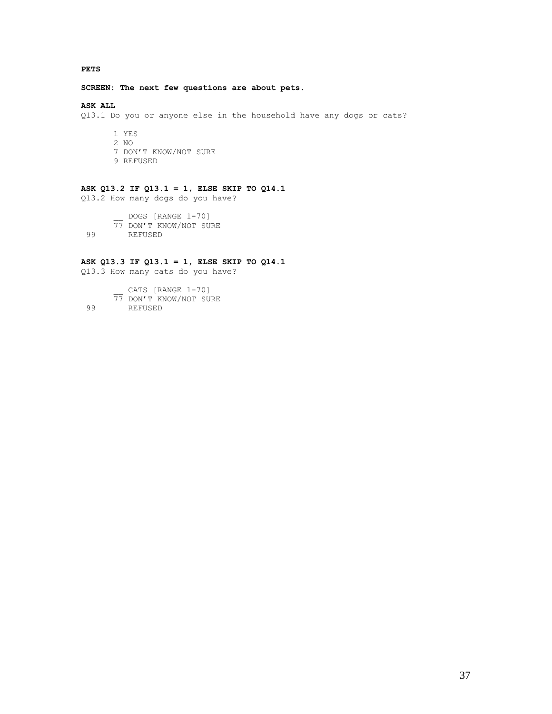**PETS** 

**SCREEN: The next few questions are about pets.** 

**ASK ALL** 

Q13.1 Do you or anyone else in the household have any dogs or cats?

- 1 YES 2 NO
- 7 DON'T KNOW/NOT SURE
- 9 REFUSED

# **ASK Q13.2 IF Q13.1 = 1, ELSE SKIP TO Q14.1**

Q13.2 How many dogs do you have?

 \_\_ DOGS [RANGE 1-70] <sup>77</sup> DON'T KNOW/NOT SURE<br>99 REFUSED 99 REFUSED

# **ASK Q13.3 IF Q13.1 = 1, ELSE SKIP TO Q14.1**

Q13.3 How many cats do you have?

\_\_ CATS [RANGE 1-70] 77 DON'T KNOW/NOT SURE 99 REFUSED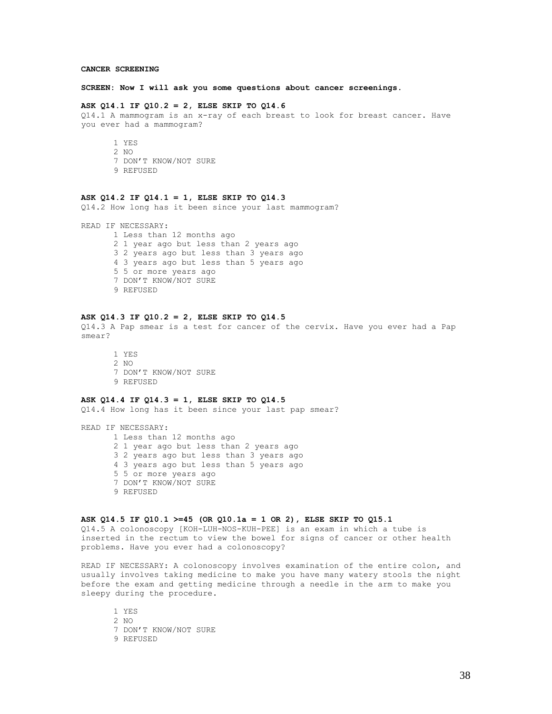#### **CANCER SCREENING**

**SCREEN: Now I will ask you some questions about cancer screenings.** 

#### **ASK Q14.1 IF Q10.2 = 2, ELSE SKIP TO Q14.6**

Q14.1 A mammogram is an x-ray of each breast to look for breast cancer. Have you ever had a mammogram?

- 1 YES
- 2 NO
- 7 DON'T KNOW/NOT SURE
- 9 REFUSED

# **ASK Q14.2 IF Q14.1 = 1, ELSE SKIP TO Q14.3**

Q14.2 How long has it been since your last mammogram?

READ IF NECESSARY:

1 Less than 12 months ago 2 1 year ago but less than 2 years ago 3 2 years ago but less than 3 years ago 4 3 years ago but less than 5 years ago 5 5 or more years ago 7 DON'T KNOW/NOT SURE 9 REFUSED

#### **ASK Q14.3 IF Q10.2 = 2, ELSE SKIP TO Q14.5**

Q14.3 A Pap smear is a test for cancer of the cervix. Have you ever had a Pap smear?

1 YES 2 NO 7 DON'T KNOW/NOT SURE 9 REFUSED

#### **ASK Q14.4 IF Q14.3 = 1, ELSE SKIP TO Q14.5**

Q14.4 How long has it been since your last pap smear?

READ IF NECESSARY: 1 Less than 12 months ago 2 1 year ago but less than 2 years ago 3 2 years ago but less than 3 years ago 4 3 years ago but less than 5 years ago 5 5 or more years ago 7 DON'T KNOW/NOT SURE 9 REFUSED

# **ASK Q14.5 IF Q10.1 >=45 (OR Q10.1a = 1 OR 2), ELSE SKIP TO Q15.1**

Q14.5 A colonoscopy [KOH-LUH-NOS-KUH-PEE] is an exam in which a tube is inserted in the rectum to view the bowel for signs of cancer or other health problems. Have you ever had a colonoscopy?

READ IF NECESSARY: A colonoscopy involves examination of the entire colon, and usually involves taking medicine to make you have many watery stools the night before the exam and getting medicine through a needle in the arm to make you sleepy during the procedure.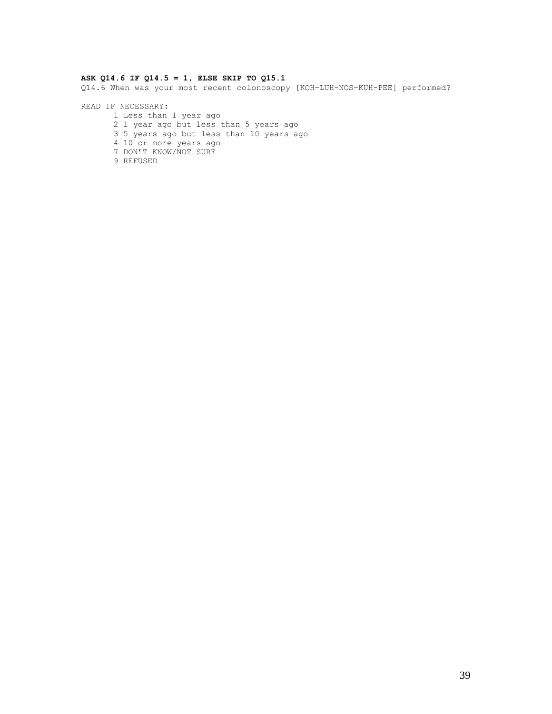# **ASK Q14.6 IF Q14.5 = 1, ELSE SKIP TO Q15.1**

Q14.6 When was your most recent colonoscopy [KOH-LUH-NOS-KUH-PEE] performed?

READ IF NECESSARY:

- 1 Less than 1 year ago
- 2 1 year ago but less than 5 years ago
- 3 5 years ago but less than 10 years ago
- 4 10 or more years ago
- 7 DON'T KNOW/NOT SURE
- 9 REFUSED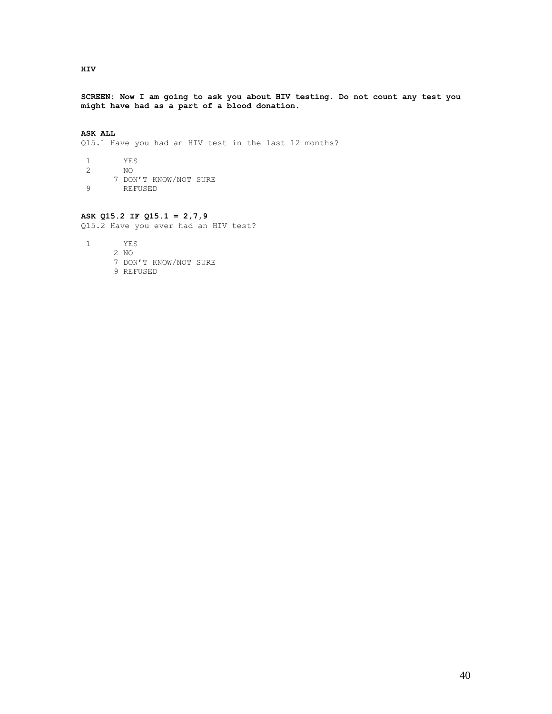**SCREEN: Now I am going to ask you about HIV testing. Do not count any test you might have had as a part of a blood donation.**

# **ASK ALL**

Q15.1 Have you had an HIV test in the last 12 months?

- $\begin{tabular}{ll} 1 & & \tt YES \\ 2 & & \tt NO \end{tabular}$
- 2 NO
- 7 DON'T KNOW/NOT SURE<br>9 REFUSED
- **REFUSED**

# **ASK Q15.2 IF Q15.1 = 2,7,9**

Q15.2 Have you ever had an HIV test?

- 1 YES
	- 2 NO
		- 7 DON'T KNOW/NOT SURE
		- 9 REFUSED

**HIV**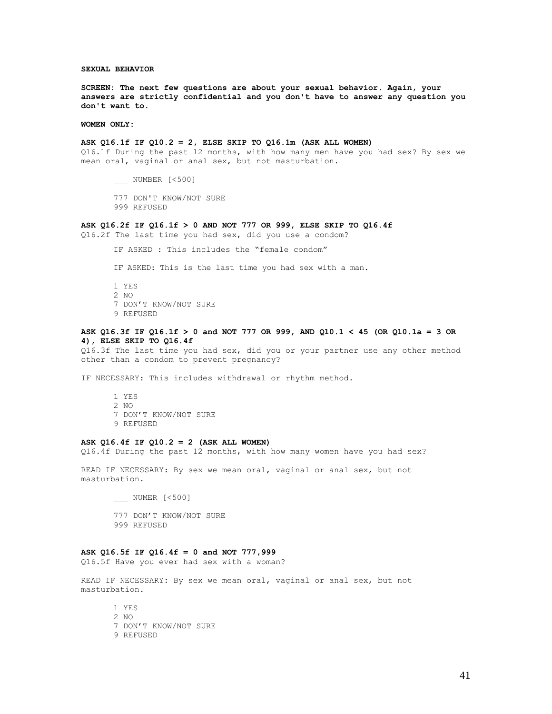**SEXUAL BEHAVIOR** 

**SCREEN: The next few questions are about your sexual behavior. Again, your answers are strictly confidential and you don't have to answer any question you don't want to.** 

**WOMEN ONLY:**

# **ASK Q16.1f IF Q10.2 = 2, ELSE SKIP TO Q16.1m (ASK ALL WOMEN)**

Q16.1f During the past 12 months, with how many men have you had sex? By sex we mean oral, vaginal or anal sex, but not masturbation.

\_\_\_ NUMBER [<500]

777 DON'T KNOW/NOT SURE

999 REFUSED

## **ASK Q16.2f IF Q16.1f > 0 AND NOT 777 OR 999, ELSE SKIP TO Q16.4f**

Q16.2f The last time you had sex, did you use a condom?

IF ASKED : This includes the "female condom"

IF ASKED: This is the last time you had sex with a man.

1 YES 2 NO 7 DON'T KNOW/NOT SURE 9 REFUSED

#### **ASK Q16.3f IF Q16.1f > 0 and NOT 777 OR 999, AND Q10.1 < 45 (OR Q10.1a = 3 OR 4), ELSE SKIP TO Q16.4f**

Q16.3f The last time you had sex, did you or your partner use any other method other than a condom to prevent pregnancy?

IF NECESSARY: This includes withdrawal or rhythm method.

1 YES 2 NO 7 DON'T KNOW/NOT SURE 9 REFUSED

#### **ASK Q16.4f IF Q10.2 = 2 (ASK ALL WOMEN)**

Q16.4f During the past 12 months, with how many women have you had sex?

READ IF NECESSARY: By sex we mean oral, vaginal or anal sex, but not masturbation.

\_\_\_ NUMER [<500]

777 DON'T KNOW/NOT SURE 999 REFUSED

## **ASK Q16.5f IF Q16.4f = 0 and NOT 777,999**

Q16.5f Have you ever had sex with a woman?

READ IF NECESSARY: By sex we mean oral, vaginal or anal sex, but not masturbation.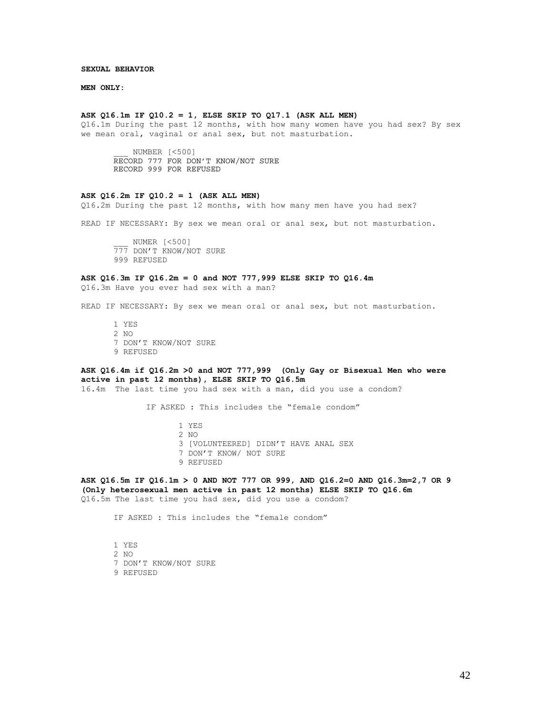#### **SEXUAL BEHAVIOR**

**MEN ONLY:** 

# **ASK Q16.1m IF Q10.2 = 1, ELSE SKIP TO Q17.1 (ASK ALL MEN)**

Q16.1m During the past 12 months, with how many women have you had sex? By sex we mean oral, vaginal or anal sex, but not masturbation.

NUMBER [<500] RECORD 777 FOR DON'T KNOW/NOT SURE RECORD 999 FOR REFUSED

#### **ASK Q16.2m IF Q10.2 = 1 (ASK ALL MEN)**

Q16.2m During the past 12 months, with how many men have you had sex?

READ IF NECESSARY: By sex we mean oral or anal sex, but not masturbation.

NUMER [<500] 777 DON'T KNOW/NOT SURE 999 REFUSED

#### **ASK Q16.3m IF Q16.2m = 0 and NOT 777,999 ELSE SKIP TO Q16.4m**  Q16.3m Have you ever had sex with a man?

READ IF NECESSARY: By sex we mean oral or anal sex, but not masturbation.

1 YES 2 NO 7 DON'T KNOW/NOT SURE 9 REFUSED

# **ASK Q16.4m if Q16.2m >0 and NOT 777,999 (Only Gay or Bisexual Men who were active in past 12 months), ELSE SKIP TO Q16.5m**

16.4m The last time you had sex with a man, did you use a condom?

IF ASKED : This includes the "female condom"

1 YES 2 NO 3 [VOLUNTEERED] DIDN'T HAVE ANAL SEX 7 DON'T KNOW/ NOT SURE 9 REFUSED

**ASK Q16.5m IF Q16.1m > 0 AND NOT 777 OR 999, AND Q16.2=0 AND Q16.3m=2,7 OR 9 (Only heterosexual men active in past 12 months) ELSE SKIP TO Q16.6m**  Q16.5m The last time you had sex, did you use a condom?

IF ASKED : This includes the "female condom"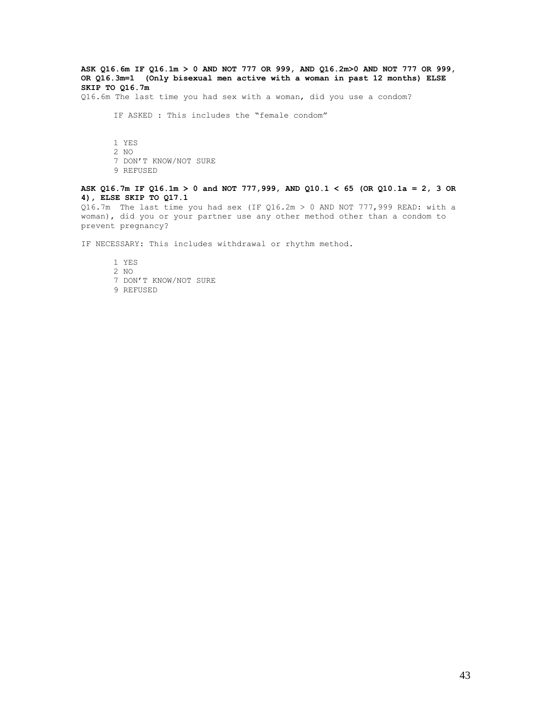**ASK Q16.6m IF Q16.1m > 0 AND NOT 777 OR 999, AND Q16.2m>0 AND NOT 777 OR 999, OR Q16.3m=1 (Only bisexual men active with a woman in past 12 months) ELSE SKIP TO Q16.7m** 

Q16.6m The last time you had sex with a woman, did you use a condom?

IF ASKED : This includes the "female condom"

1 YES 2 NO 7 DON'T KNOW/NOT SURE

9 REFUSED

# **ASK Q16.7m IF Q16.1m > 0 and NOT 777,999, AND Q10.1 < 65 (OR Q10.1a = 2, 3 OR 4), ELSE SKIP TO Q17.1**

Q16.7m The last time you had sex (IF Q16.2m > 0 AND NOT 777,999 READ: with a woman), did you or your partner use any other method other than a condom to prevent pregnancy?

IF NECESSARY: This includes withdrawal or rhythm method.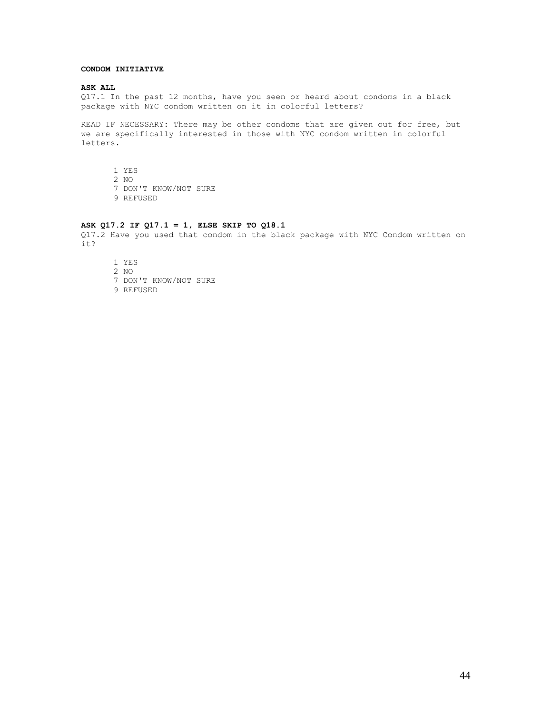# **CONDOM INITIATIVE**

#### **ASK ALL**

Q17.1 In the past 12 months, have you seen or heard about condoms in a black package with NYC condom written on it in colorful letters?

READ IF NECESSARY: There may be other condoms that are given out for free, but we are specifically interested in those with NYC condom written in colorful letters.

1 YES 2 NO 7 DON'T KNOW/NOT SURE 9 REFUSED

# **ASK Q17.2 IF Q17.1 = 1, ELSE SKIP TO Q18.1**

Q17.2 Have you used that condom in the black package with NYC Condom written on it?

- 1 YES
- 2 NO 7 DON'T KNOW/NOT SURE
- 9 REFUSED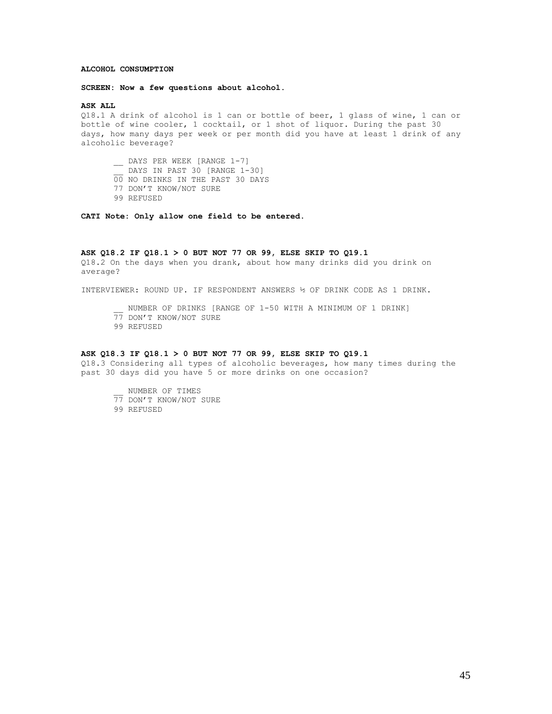#### **ALCOHOL CONSUMPTION**

**SCREEN: Now a few questions about alcohol.** 

#### **ASK ALL**

Q18.1 A drink of alcohol is 1 can or bottle of beer, 1 glass of wine, 1 can or bottle of wine cooler, 1 cocktail, or 1 shot of liquor. During the past 30 days, how many days per week or per month did you have at least 1 drink of any alcoholic beverage?

\_\_ DAYS PER WEEK [RANGE 1-7] \_\_ DAYS IN PAST 30 [RANGE 1-30] 00 NO DRINKS IN THE PAST 30 DAYS 77 DON'T KNOW/NOT SURE

99 REFUSED

**CATI Note: Only allow one field to be entered.** 

# **ASK Q18.2 IF Q18.1 > 0 BUT NOT 77 OR 99, ELSE SKIP TO Q19.1**

Q18.2 On the days when you drank, about how many drinks did you drink on average?

INTERVIEWER: ROUND UP. IF RESPONDENT ANSWERS ½ OF DRINK CODE AS 1 DRINK.

NUMBER OF DRINKS [RANGE OF 1-50 WITH A MINIMUM OF 1 DRINK]

- 77 DON'T KNOW/NOT SURE
- 99 REFUSED

#### **ASK Q18.3 IF Q18.1 > 0 BUT NOT 77 OR 99, ELSE SKIP TO Q19.1**

Q18.3 Considering all types of alcoholic beverages, how many times during the past 30 days did you have 5 or more drinks on one occasion?

\_\_ NUMBER OF TIMES 77 DON'T KNOW/NOT SURE 99 REFUSED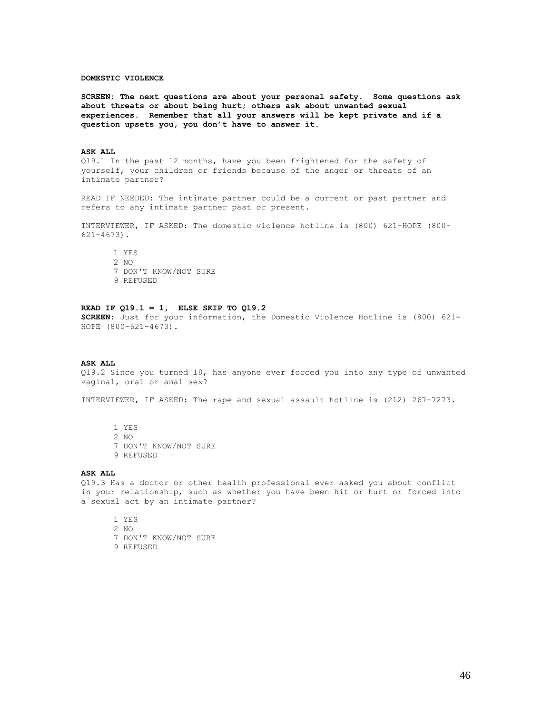#### **DOMESTIC VIOLENCE**

**SCREEN: The next questions are about your personal safety. Some questions ask about threats or about being hurt; others ask about unwanted sexual experiences. Remember that all your answers will be kept private and if a question upsets you, you don't have to answer it.** 

#### **ASK ALL**

Q19.1 In the past 12 months, have you been frightened for the safety of yourself, your children or friends because of the anger or threats of an intimate partner?

READ IF NEEDED: The intimate partner could be a current or past partner and refers to any intimate partner past or present.

INTERVIEWER, IF ASKED: The domestic violence hotline is (800) 621-HOPE (800- 621-4673).

1 YES 2 NO 7 DON'T KNOW/NOT SURE 9 REFUSED

# **READ IF Q19.1 = 1, ELSE SKIP TO Q19.2**

**SCREEN:** Just for your information, the Domestic Violence Hotline is (800) 621- HOPE (800-621-4673).

#### **ASK ALL**

Q19.2 Since you turned 18, has anyone ever forced you into any type of unwanted vaginal, oral or anal sex?

INTERVIEWER, IF ASKED: The rape and sexual assault hotline is (212) 267-7273.

1 YES 2 NO 7 DON'T KNOW/NOT SURE 9 REFUSED

#### **ASK ALL**

Q19.3 Has a doctor or other health professional ever asked you about conflict in your relationship, such as whether you have been hit or hurt or forced into a sexual act by an intimate partner?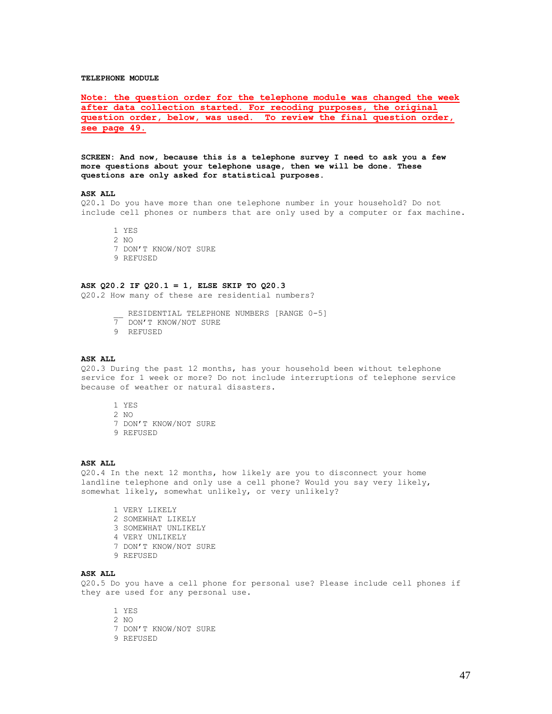#### **TELEPHONE MODULE**

**Note: the question order for the telephone module was changed the week after data collection started. For recoding purposes, the original question order, below, was used. To review the final question order, see page 49.**

**SCREEN: And now, because this is a telephone survey I need to ask you a few more questions about your telephone usage, then we will be done. These questions are only asked for statistical purposes.** 

## **ASK ALL**

Q20.1 Do you have more than one telephone number in your household? Do not include cell phones or numbers that are only used by a computer or fax machine.

1 YES

2 NO 7 DON'T KNOW/NOT SURE

9 REFUSED

## **ASK Q20.2 IF Q20.1 = 1, ELSE SKIP TO Q20.3**

Q20.2 How many of these are residential numbers?

RESIDENTIAL TELEPHONE NUMBERS [RANGE 0-5]

- 7 DON'T KNOW/NOT SURE
- 9 REFUSED

#### **ASK ALL**

Q20.3 During the past 12 months, has your household been without telephone service for 1 week or more? Do not include interruptions of telephone service because of weather or natural disasters.

- 1 YES
- 2 NO 7 DON'T KNOW/NOT SURE 9 REFUSED

## **ASK ALL**

Q20.4 In the next 12 months, how likely are you to disconnect your home landline telephone and only use a cell phone? Would you say very likely, somewhat likely, somewhat unlikely, or very unlikely?

1 VERY LIKELY 2 SOMEWHAT LIKELY 3 SOMEWHAT UNLIKELY 4 VERY UNLIKELY 7 DON'T KNOW/NOT SURE 9 REFUSED

#### **ASK ALL**

Q20.5 Do you have a cell phone for personal use? Please include cell phones if they are used for any personal use.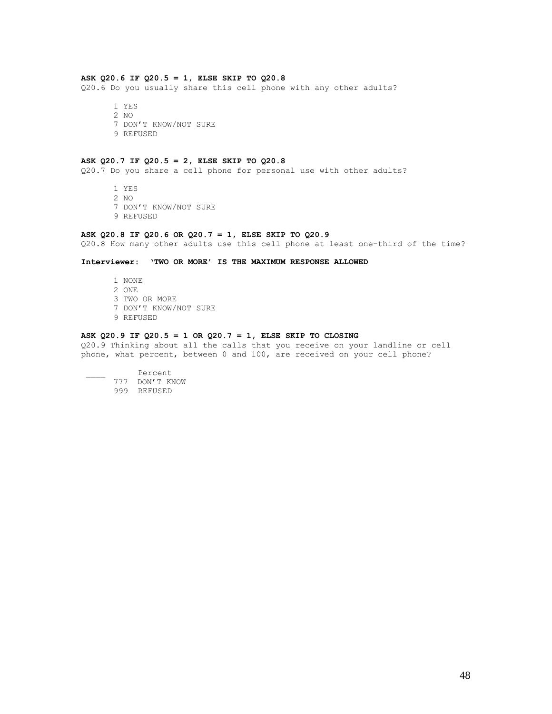# **ASK Q20.6 IF Q20.5 = 1, ELSE SKIP TO Q20.8**

Q20.6 Do you usually share this cell phone with any other adults?

1 YES 2 NO 7 DON'T KNOW/NOT SURE 9 REFUSED

# **ASK Q20.7 IF Q20.5 = 2, ELSE SKIP TO Q20.8**

Q20.7 Do you share a cell phone for personal use with other adults?

1 YES 2 NO 7 DON'T KNOW/NOT SURE

- 
- 9 REFUSED

# **ASK Q20.8 IF Q20.6 OR Q20.7 = 1, ELSE SKIP TO Q20.9**

Q20.8 How many other adults use this cell phone at least one-third of the time?

#### **Interviewer: 'TWO OR MORE' IS THE MAXIMUM RESPONSE ALLOWED**

- 1 NONE 2 ONE 3 TWO OR MORE 7 DON'T KNOW/NOT SURE
- 9 REFUSED

#### **ASK Q20.9 IF Q20.5 = 1 OR Q20.7 = 1, ELSE SKIP TO CLOSING**

Q20.9 Thinking about all the calls that you receive on your landline or cell phone, what percent, between 0 and 100, are received on your cell phone?

- \_\_\_\_ Percent
	- 777 DON'T KNOW
	- 999 REFUSED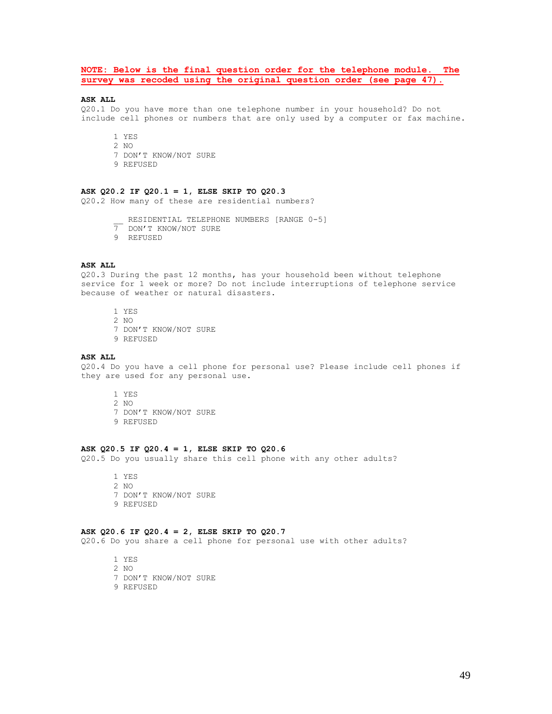# **NOTE: Below is the final question order for the telephone module. The survey was recoded using the original question order (see page 47).**

## **ASK ALL**

Q20.1 Do you have more than one telephone number in your household? Do not include cell phones or numbers that are only used by a computer or fax machine.

1 YES 2 NO 7 DON'T KNOW/NOT SURE

9 REFUSED

**ASK Q20.2 IF Q20.1 = 1, ELSE SKIP TO Q20.3** 

Q20.2 How many of these are residential numbers?

\_\_ RESIDENTIAL TELEPHONE NUMBERS [RANGE 0-5]

- 7 DON'T KNOW/NOT SURE
- 9 REFUSED

#### **ASK ALL**

Q20.3 During the past 12 months, has your household been without telephone service for 1 week or more? Do not include interruptions of telephone service because of weather or natural disasters.

1 YES 2 NO

- 7 DON'T KNOW/NOT SURE
- 9 REFUSED

# **ASK ALL**

Q20.4 Do you have a cell phone for personal use? Please include cell phones if they are used for any personal use.

1 YES 2 NO 7 DON'T KNOW/NOT SURE 9 REFUSED

#### **ASK Q20.5 IF Q20.4 = 1, ELSE SKIP TO Q20.6**

Q20.5 Do you usually share this cell phone with any other adults?

1 YES 2 NO 7 DON'T KNOW/NOT SURE 9 REFUSED

#### **ASK Q20.6 IF Q20.4 = 2, ELSE SKIP TO Q20.7**

Q20.6 Do you share a cell phone for personal use with other adults?